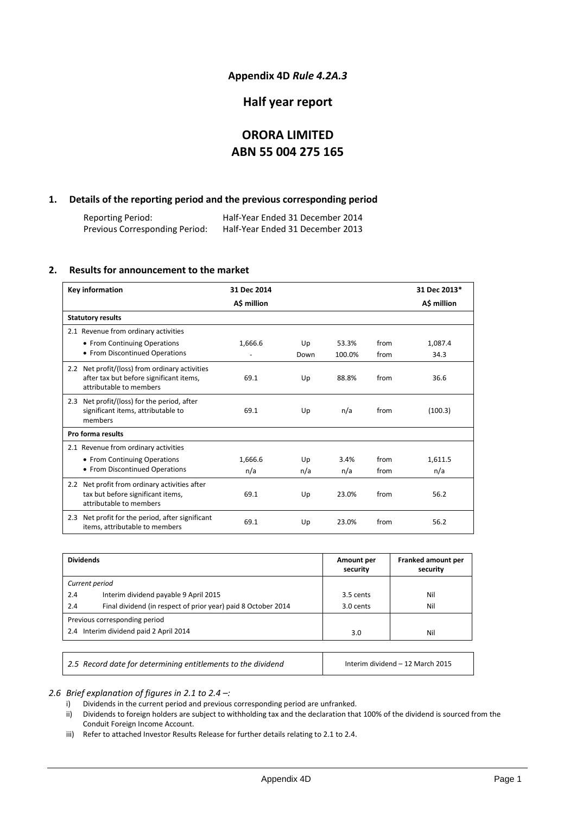## **Appendix 4D** *Rule 4.2A.3*

# **Half year report**

# **ORORA LIMITED ABN 55 004 275 165**

## **1. Details of the reporting period and the previous corresponding period**

Reporting Period: Half-Year Ended 31 December 2014 Previous Corresponding Period:

## **2. Results for announcement to the market**

| Key information                                                                                                      | 31 Dec 2014 |      |        |      | 31 Dec 2013* |
|----------------------------------------------------------------------------------------------------------------------|-------------|------|--------|------|--------------|
|                                                                                                                      | A\$ million |      |        |      | A\$ million  |
| <b>Statutory results</b>                                                                                             |             |      |        |      |              |
| 2.1 Revenue from ordinary activities                                                                                 |             |      |        |      |              |
| • From Continuing Operations                                                                                         | 1,666.6     | Up   | 53.3%  | from | 1,087.4      |
| • From Discontinued Operations                                                                                       |             | Down | 100.0% | from | 34.3         |
| 2.2 Net profit/(loss) from ordinary activities<br>after tax but before significant items,<br>attributable to members | 69.1        | Up   | 88.8%  | from | 36.6         |
| 2.3 Net profit/(loss) for the period, after<br>significant items, attributable to<br>members                         | 69.1        | Up   | n/a    | from | (100.3)      |
| Pro forma results                                                                                                    |             |      |        |      |              |
| 2.1 Revenue from ordinary activities                                                                                 |             |      |        |      |              |
| • From Continuing Operations                                                                                         | 1,666.6     | Up   | 3.4%   | from | 1,611.5      |
| • From Discontinued Operations                                                                                       | n/a         | n/a  | n/a    | from | n/a          |
| 2.2 Net profit from ordinary activities after<br>tax but before significant items,<br>attributable to members        | 69.1        | Up   | 23.0%  | from | 56.2         |
| Net profit for the period, after significant<br>2.3<br>items, attributable to members                                | 69.1        | Up   | 23.0%  | from | 56.2         |

| <b>Dividends</b>                                                     | Amount per<br>security | Franked amount per<br>security |
|----------------------------------------------------------------------|------------------------|--------------------------------|
| Current period                                                       |                        |                                |
| 2.4<br>Interim dividend payable 9 April 2015                         | 3.5 cents              | Nil                            |
| Final dividend (in respect of prior year) paid 8 October 2014<br>2.4 | 3.0 cents              | Nil                            |
| Previous corresponding period                                        |                        |                                |
| 2.4 Interim dividend paid 2 April 2014                               | 3.0                    | Nil                            |
|                                                                      |                        |                                |

2.5 Record date for determining entitlements to the dividend **Interim dividend – 12 March 2015** 

*2.6 Brief explanation of figures in 2.1 to 2.4 –:*

i) Dividends in the current period and previous corresponding period are unfranked.

ii) Dividends to foreign holders are subject to withholding tax and the declaration that 100% of the dividend is sourced from the Conduit Foreign Income Account.

iii) Refer to attached Investor Results Release for further details relating to 2.1 to 2.4.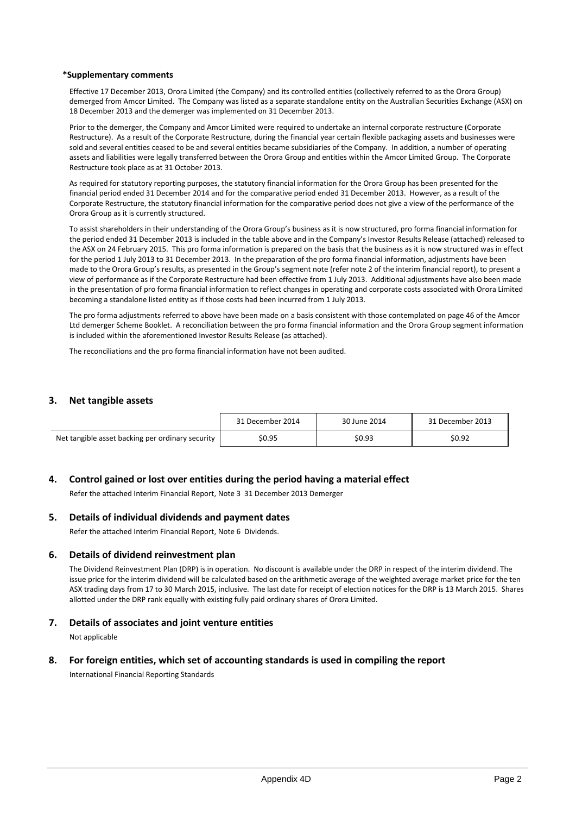#### **\*Supplementary comments**

Effective 17 December 2013, Orora Limited (the Company) and its controlled entities (collectively referred to as the Orora Group) demerged from Amcor Limited. The Company was listed as a separate standalone entity on the Australian Securities Exchange (ASX) on 18 December 2013 and the demerger was implemented on 31 December 2013.

Prior to the demerger, the Company and Amcor Limited were required to undertake an internal corporate restructure (Corporate Restructure). As a result of the Corporate Restructure, during the financial year certain flexible packaging assets and businesses were sold and several entities ceased to be and several entities became subsidiaries of the Company. In addition, a number of operating assets and liabilities were legally transferred between the Orora Group and entities within the Amcor Limited Group. The Corporate Restructure took place as at 31 October 2013.

As required for statutory reporting purposes, the statutory financial information for the Orora Group has been presented for the financial period ended 31 December 2014 and for the comparative period ended 31 December 2013. However, as a result of the Corporate Restructure, the statutory financial information for the comparative period does not give a view of the performance of the Orora Group as it is currently structured.

To assist shareholders in their understanding of the Orora Group's business as it is now structured, pro forma financial information for the period ended 31 December 2013 is included in the table above and in the Company's Investor Results Release (attached) released to the ASX on 24 February 2015. This pro forma information is prepared on the basis that the business as it is now structured was in effect for the period 1 July 2013 to 31 December 2013. In the preparation of the pro forma financial information, adjustments have been made to the Orora Group's results, as presented in the Group's segment note (refer note 2 of the interim financial report), to present a view of performance as if the Corporate Restructure had been effective from 1 July 2013. Additional adjustments have also been made in the presentation of pro forma financial information to reflect changes in operating and corporate costs associated with Orora Limited becoming a standalone listed entity as if those costs had been incurred from 1 July 2013.

The pro forma adjustments referred to above have been made on a basis consistent with those contemplated on page 46 of the Amcor Ltd demerger Scheme Booklet. A reconciliation between the pro forma financial information and the Orora Group segment information is included within the aforementioned Investor Results Release (as attached).

The reconciliations and the pro forma financial information have not been audited.

#### **3. Net tangible assets**

|                                                  | 31 December 2014 | 30 June 2014 | 31 December 2013 |
|--------------------------------------------------|------------------|--------------|------------------|
| Net tangible asset backing per ordinary security | \$0.95           | \$0.93       | \$0.92           |

### **4. Control gained or lost over entities during the period having a material effect**

Refer the attached Interim Financial Report, Note 3 31 December 2013 Demerger

### **5. Details of individual dividends and payment dates**

Refer the attached Interim Financial Report, Note 6 Dividends.

#### **6. Details of dividend reinvestment plan**

The Dividend Reinvestment Plan (DRP) is in operation. No discount is available under the DRP in respect of the interim dividend. The issue price for the interim dividend will be calculated based on the arithmetic average of the weighted average market price for the ten ASX trading days from 17 to 30 March 2015, inclusive. The last date for receipt of election notices for the DRP is 13 March 2015. Shares allotted under the DRP rank equally with existing fully paid ordinary shares of Orora Limited.

### **7. Details of associates and joint venture entities**

Not applicable

## **8. For foreign entities, which set of accounting standards is used in compiling the report**

International Financial Reporting Standards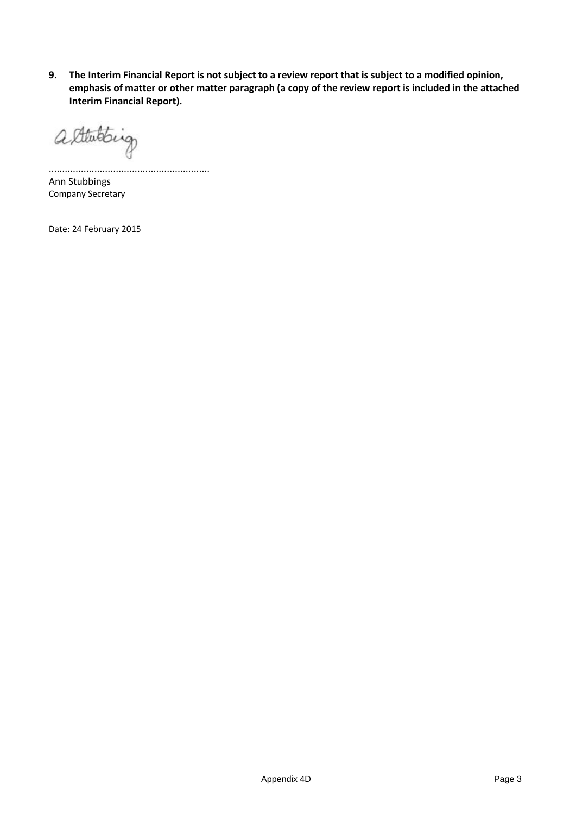**9. The Interim Financial Report is not subject to a review report that is subject to a modified opinion, emphasis of matter or other matter paragraph (a copy of the review report is included in the attached Interim Financial Report).**

alterating

............................................................ Ann Stubbings Company Secretary

Date: 24 February 2015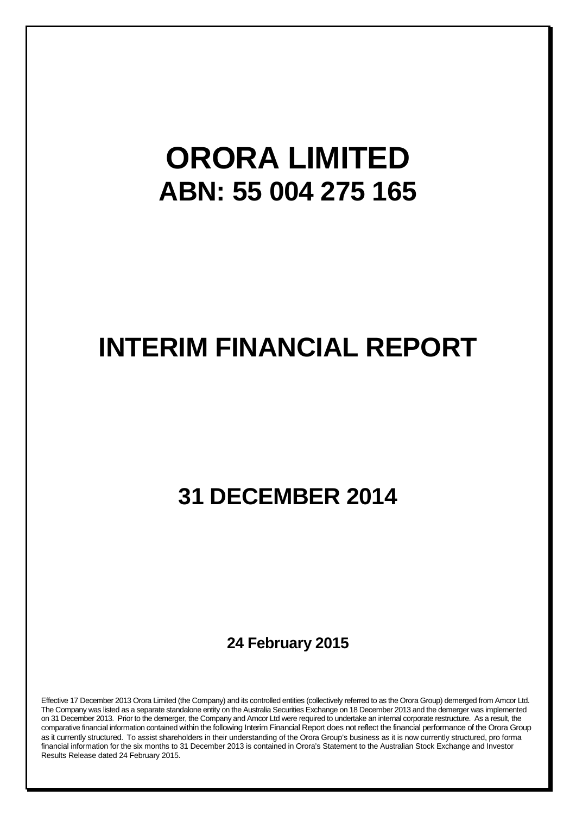# **ORORA LIMITED ABN: 55 004 275 165**

# **INTERIM FINANCIAL REPORT**

# **31 DECEMBER 2014**

**24 February 2015**

Effective 17 December 2013 Orora Limited (the Company) and its controlled entities (collectively referred to as the Orora Group) demerged from Amcor Ltd. The Company was listed as a separate standalone entity on the Australia Securities Exchange on 18 December 2013 and the demerger was implemented on 31 December 2013. Prior to the demerger, the Company and Amcor Ltd were required to undertake an internal corporate restructure. As a result, the comparative financial information contained within the following Interim Financial Report does not reflect the financial performance of the Orora Group as it currently structured. To assist shareholders in their understanding of the Orora Group's business as it is now currently structured, pro forma financial information for the six months to 31 December 2013 is contained in Orora's Statement to the Australian Stock Exchange and Investor Results Release dated 24 February 2015.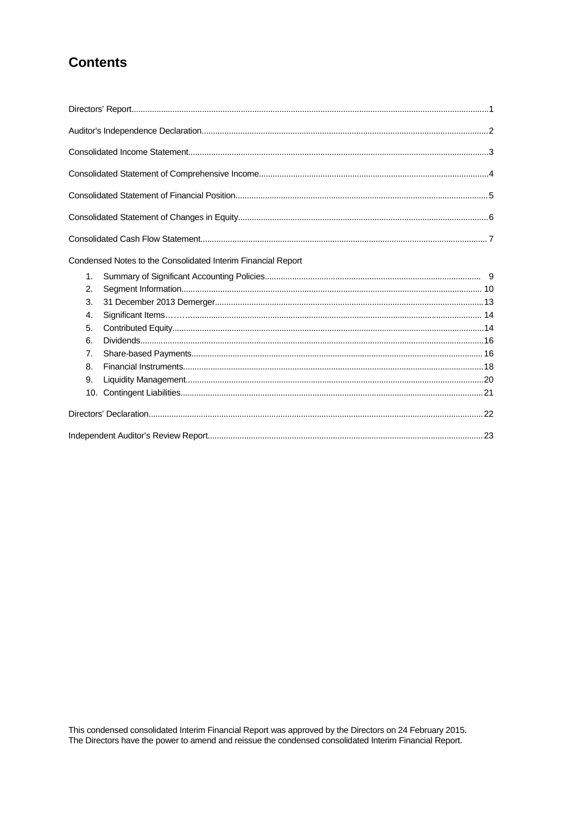# **Contents**

|                | Condensed Notes to the Consolidated Interim Financial Report |  |
|----------------|--------------------------------------------------------------|--|
| $\mathbf{1}$ . |                                                              |  |
| 2.             |                                                              |  |
| 3.             |                                                              |  |
| 4.             |                                                              |  |
| 5.             |                                                              |  |
| 6.             |                                                              |  |
| 7.             |                                                              |  |
| 8.             |                                                              |  |
| 9.             |                                                              |  |
| 10.            |                                                              |  |
|                |                                                              |  |
|                |                                                              |  |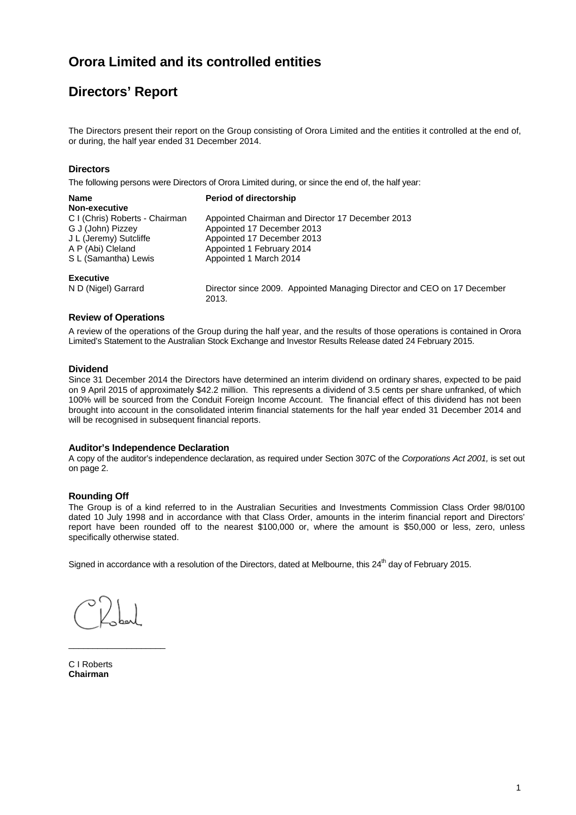# **Directors' Report**

The Directors present their report on the Group consisting of Orora Limited and the entities it controlled at the end of, or during, the half year ended 31 December 2014.

### **Directors**

The following persons were Directors of Orora Limited during, or since the end of, the half year:

2013.

| <b>Name</b>                    | <b>Period of directorship</b>                                           |
|--------------------------------|-------------------------------------------------------------------------|
| Non-executive                  |                                                                         |
| C I (Chris) Roberts - Chairman | Appointed Chairman and Director 17 December 2013                        |
| G J (John) Pizzey              | Appointed 17 December 2013                                              |
| J L (Jeremy) Sutcliffe         | Appointed 17 December 2013                                              |
| A P (Abi) Cleland              | Appointed 1 February 2014                                               |
| S L (Samantha) Lewis           | Appointed 1 March 2014                                                  |
| <b>Executive</b>               |                                                                         |
| N D (Nigel) Garrard            | Director since 2009. Appointed Managing Director and CEO on 17 December |

#### **Review of Operations**

A review of the operations of the Group during the half year, and the results of those operations is contained in Orora Limited's Statement to the Australian Stock Exchange and Investor Results Release dated 24 February 2015.

#### **Dividend**

Since 31 December 2014 the Directors have determined an interim dividend on ordinary shares, expected to be paid on 9 April 2015 of approximately \$42.2 million. This represents a dividend of 3.5 cents per share unfranked, of which 100% will be sourced from the Conduit Foreign Income Account. The financial effect of this dividend has not been brought into account in the consolidated interim financial statements for the half year ended 31 December 2014 and will be recognised in subsequent financial reports.

#### **Auditor's Independence Declaration**

A copy of the auditor's independence declaration, as required under Section 307C of the *Corporations Act 2001,* is set out on page 2.

### **Rounding Off**

The Group is of a kind referred to in the Australian Securities and Investments Commission Class Order 98/0100 dated 10 July 1998 and in accordance with that Class Order, amounts in the interim financial report and Directors' report have been rounded off to the nearest \$100,000 or, where the amount is \$50,000 or less, zero, unless specifically otherwise stated.

Signed in accordance with a resolution of the Directors, dated at Melbourne, this 24<sup>th</sup> day of February 2015.

\_\_\_\_\_\_\_\_\_\_\_\_\_\_\_\_\_\_\_\_

C I Roberts **Chairman**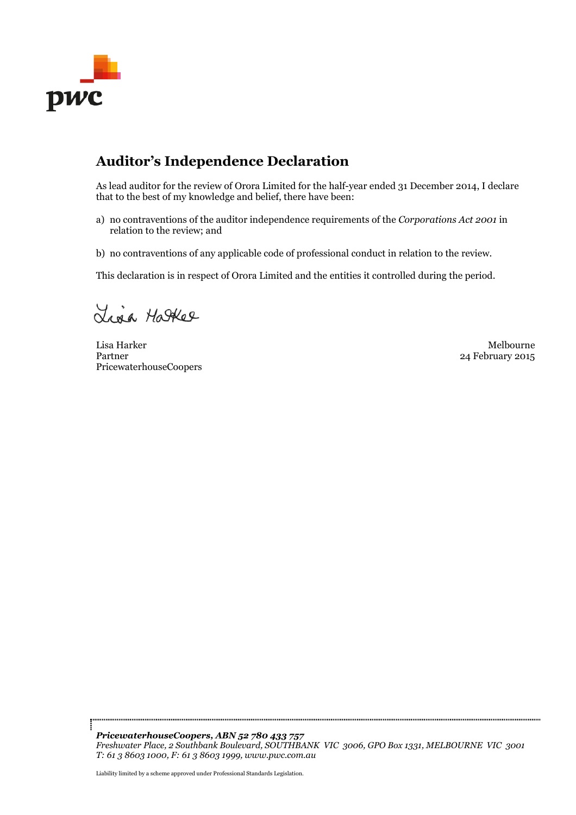

# **Auditor's Independence Declaration**

As lead auditor for the review of Orora Limited for the half-year ended 31 December 2014, I declare that to the best of my knowledge and belief, there have been:

- a) no contraventions of the auditor independence requirements of the *Corporations Act 2001* in relation to the review; and
- b) no contraventions of any applicable code of professional conduct in relation to the review.

This declaration is in respect of Orora Limited and the entities it controlled during the period.

Lina Hatter

Lisa Harker Melbourne Partner PricewaterhouseCoopers

24 February 2015

*PricewaterhouseCoopers, ABN 52 780 433 757 Freshwater Place, 2 Southbank Boulevard, SOUTHBANK VIC 3006, GPO Box 1331, MELBOURNE VIC 3001 T: 61 3 8603 1000, F: 61 3 8603 1999, www.pwc.com.au*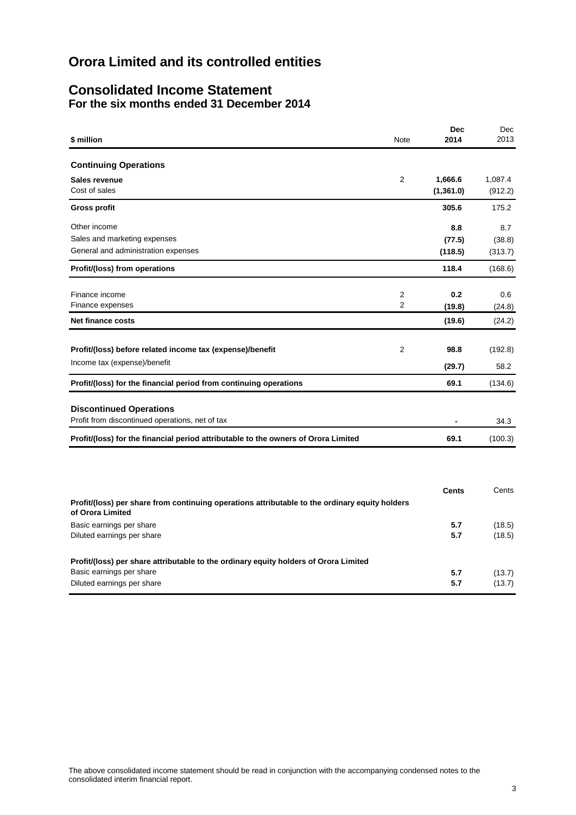# **Consolidated Income Statement For the six months ended 31 December 2014**

| \$ million                                                                                                         | Note           | <b>Dec</b><br>2014 | Dec<br>2013 |
|--------------------------------------------------------------------------------------------------------------------|----------------|--------------------|-------------|
| <b>Continuing Operations</b>                                                                                       |                |                    |             |
| Sales revenue                                                                                                      | $\overline{2}$ | 1,666.6            | 1,087.4     |
| Cost of sales                                                                                                      |                | (1, 361.0)         | (912.2)     |
| <b>Gross profit</b>                                                                                                |                | 305.6              | 175.2       |
| Other income                                                                                                       |                | 8.8                | 8.7         |
| Sales and marketing expenses                                                                                       |                | (77.5)             | (38.8)      |
| General and administration expenses                                                                                |                | (118.5)            | (313.7)     |
| Profit/(loss) from operations                                                                                      |                | 118.4              | (168.6)     |
| Finance income                                                                                                     | $\overline{2}$ | 0.2                | 0.6         |
| Finance expenses                                                                                                   | 2              | (19.8)             | (24.8)      |
| <b>Net finance costs</b>                                                                                           |                | (19.6)             | (24.2)      |
| Profit/(loss) before related income tax (expense)/benefit                                                          | 2              | 98.8               | (192.8)     |
|                                                                                                                    |                |                    |             |
| Income tax (expense)/benefit                                                                                       |                | (29.7)             | 58.2        |
| Profit/(loss) for the financial period from continuing operations                                                  |                | 69.1               | (134.6)     |
| <b>Discontinued Operations</b>                                                                                     |                |                    |             |
| Profit from discontinued operations, net of tax                                                                    |                |                    | 34.3        |
| Profit/(loss) for the financial period attributable to the owners of Orora Limited                                 |                | 69.1               | (100.3)     |
|                                                                                                                    |                |                    |             |
|                                                                                                                    |                |                    |             |
| Profit/(loss) per share from continuing operations attributable to the ordinary equity holders<br>of Orora Limited |                | <b>Cents</b>       | Cents       |
| Basic earnings per share                                                                                           |                | 5.7                | (18.5)      |
| Diluted earnings per share                                                                                         |                | 5.7                | (18.5)      |
| Profit/(loss) per share attributable to the ordinary equity holders of Orora Limited                               |                |                    |             |
| Basic earnings per share                                                                                           |                | 5.7                | (13.7)      |
| Diluted earnings per share                                                                                         |                | 5.7                | (13.7)      |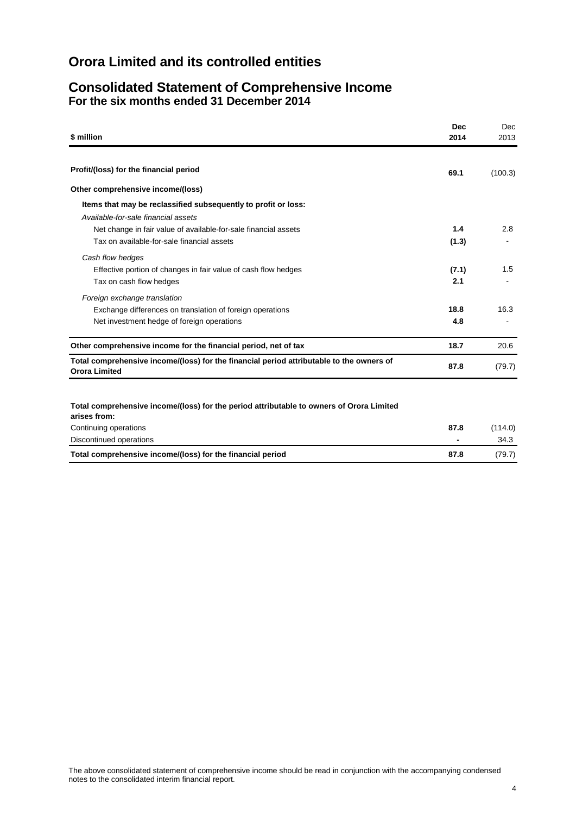# **Consolidated Statement of Comprehensive Income For the six months ended 31 December 2014**

| \$ million                                                                                                       | <b>Dec</b><br>2014 | <b>Dec</b><br>2013 |
|------------------------------------------------------------------------------------------------------------------|--------------------|--------------------|
|                                                                                                                  |                    |                    |
| Profit/(loss) for the financial period                                                                           | 69.1               | (100.3)            |
| Other comprehensive income/(loss)                                                                                |                    |                    |
| Items that may be reclassified subsequently to profit or loss:                                                   |                    |                    |
| Available-for-sale financial assets                                                                              |                    |                    |
| Net change in fair value of available-for-sale financial assets                                                  | 1.4                | 2.8                |
| Tax on available-for-sale financial assets                                                                       | (1.3)              |                    |
| Cash flow hedges                                                                                                 |                    |                    |
| Effective portion of changes in fair value of cash flow hedges                                                   | (7.1)              | 1.5                |
| Tax on cash flow hedges                                                                                          | 2.1                |                    |
| Foreign exchange translation                                                                                     |                    |                    |
| Exchange differences on translation of foreign operations                                                        | 18.8               | 16.3               |
| Net investment hedge of foreign operations                                                                       | 4.8                |                    |
| Other comprehensive income for the financial period, net of tax                                                  | 18.7               | 20.6               |
| Total comprehensive income/(loss) for the financial period attributable to the owners of<br><b>Orora Limited</b> | 87.8               | (79.7)             |
|                                                                                                                  |                    |                    |
|                                                                                                                  |                    |                    |

## **Total comprehensive income/(loss) for the period attributable to owners of Orora Limited**

| arises from:                                               |                          |         |
|------------------------------------------------------------|--------------------------|---------|
| Continuing operations                                      | 87.8                     | (114.0) |
| Discontinued operations                                    | $\overline{\phantom{0}}$ | 34.3    |
| Total comprehensive income/(loss) for the financial period | 87.8                     | (79.7)  |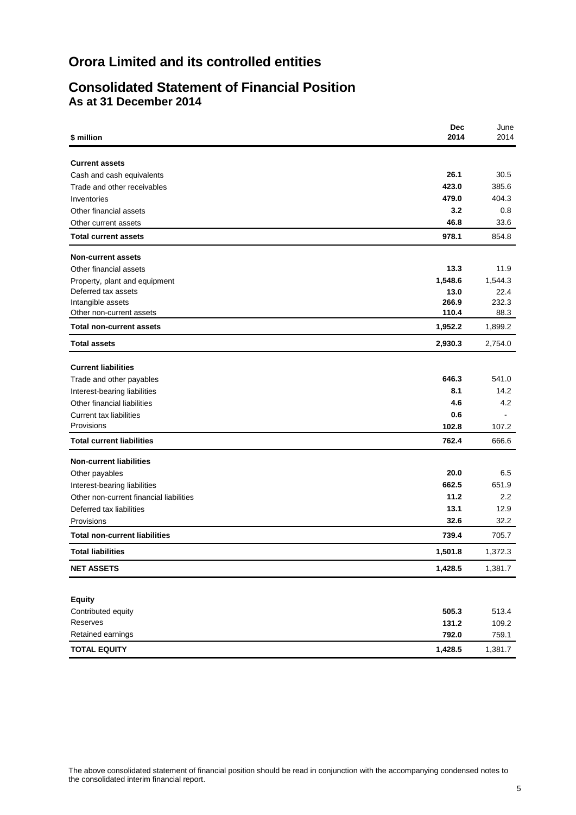# **Consolidated Statement of Financial Position As at 31 December 2014**

| \$ million                              | <b>Dec</b><br>2014 | June<br>2014 |
|-----------------------------------------|--------------------|--------------|
| <b>Current assets</b>                   |                    |              |
| Cash and cash equivalents               | 26.1               | 30.5         |
| Trade and other receivables             | 423.0              | 385.6        |
| Inventories                             | 479.0              | 404.3        |
| Other financial assets                  | 3.2                | 0.8          |
| Other current assets                    | 46.8               | 33.6         |
| <b>Total current assets</b>             | 978.1              | 854.8        |
| <b>Non-current assets</b>               |                    |              |
| Other financial assets                  | 13.3               | 11.9         |
| Property, plant and equipment           | 1,548.6            | 1,544.3      |
| Deferred tax assets                     | 13.0               | 22.4         |
| Intangible assets                       | 266.9              | 232.3        |
| Other non-current assets                | 110.4              | 88.3         |
| <b>Total non-current assets</b>         | 1,952.2            | 1,899.2      |
| <b>Total assets</b>                     | 2,930.3            | 2,754.0      |
| <b>Current liabilities</b>              |                    |              |
| Trade and other payables                | 646.3              | 541.0        |
| Interest-bearing liabilities            | 8.1                | 14.2         |
| Other financial liabilities             | 4.6                | 4.2          |
| <b>Current tax liabilities</b>          | 0.6                |              |
| Provisions                              | 102.8              | 107.2        |
| <b>Total current liabilities</b>        | 762.4              | 666.6        |
| <b>Non-current liabilities</b>          |                    |              |
| Other payables                          | 20.0               | 6.5          |
| Interest-bearing liabilities            | 662.5              | 651.9        |
| Other non-current financial liabilities | 11.2               | 2.2          |
| Deferred tax liabilities                | 13.1               | 12.9         |
| Provisions                              | 32.6               | 32.2         |
| <b>Total non-current liabilities</b>    | 739.4              | 705.7        |
| <b>Total liabilities</b>                | 1.501.8            | 1,372.3      |
| <b>NET ASSETS</b>                       | 1,428.5            | 1,381.7      |
|                                         |                    |              |
| <b>Equity</b>                           |                    |              |
| Contributed equity                      | 505.3              | 513.4        |
| Reserves                                | 131.2              | 109.2        |
| Retained earnings                       | 792.0              | 759.1        |
| <b>TOTAL EQUITY</b>                     | 1,428.5            | 1,381.7      |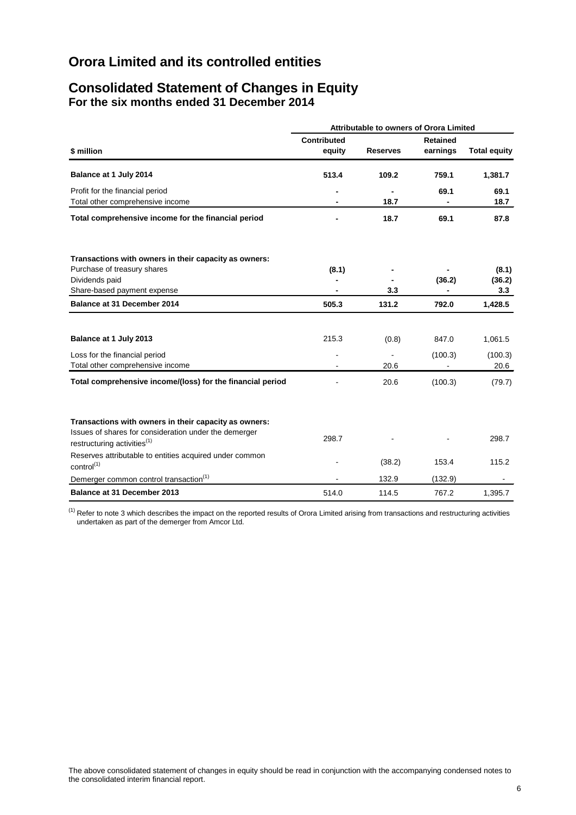# **Consolidated Statement of Changes in Equity For the six months ended 31 December 2014**

|                                                                                                  | <b>Attributable to owners of Orora Limited</b> |                 |                 |                     |  |
|--------------------------------------------------------------------------------------------------|------------------------------------------------|-----------------|-----------------|---------------------|--|
|                                                                                                  | <b>Contributed</b>                             |                 | <b>Retained</b> |                     |  |
| \$ million                                                                                       | equity                                         | <b>Reserves</b> | earnings        | <b>Total equity</b> |  |
| Balance at 1 July 2014                                                                           | 513.4                                          | 109.2           | 759.1           | 1,381.7             |  |
| Profit for the financial period<br>Total other comprehensive income                              |                                                | 18.7            | 69.1            | 69.1<br>18.7        |  |
| Total comprehensive income for the financial period                                              |                                                | 18.7            | 69.1            | 87.8                |  |
| Transactions with owners in their capacity as owners:                                            |                                                |                 |                 |                     |  |
| Purchase of treasury shares                                                                      | (8.1)                                          |                 |                 | (8.1)               |  |
| Dividends paid                                                                                   |                                                |                 | (36.2)          | (36.2)              |  |
| Share-based payment expense                                                                      |                                                | 3.3             |                 | 3.3                 |  |
| Balance at 31 December 2014                                                                      | 505.3                                          | 131.2           | 792.0           | 1,428.5             |  |
| Balance at 1 July 2013                                                                           | 215.3                                          | (0.8)           | 847.0           | 1,061.5             |  |
| Loss for the financial period<br>Total other comprehensive income                                | L,                                             | 20.6            | (100.3)         | (100.3)<br>20.6     |  |
| Total comprehensive income/(loss) for the financial period                                       |                                                | 20.6            | (100.3)         | (79.7)              |  |
| Transactions with owners in their capacity as owners:                                            |                                                |                 |                 |                     |  |
| Issues of shares for consideration under the demerger<br>restructuring activities <sup>(1)</sup> | 298.7                                          |                 |                 | 298.7               |  |
| Reserves attributable to entities acquired under common<br>control <sup>(1)</sup>                |                                                | (38.2)          | 153.4           | 115.2               |  |
| Demerger common control transaction <sup>(1)</sup>                                               |                                                | 132.9           | (132.9)         |                     |  |
| Balance at 31 December 2013                                                                      | 514.0                                          | 114.5           | 767.2           | 1,395.7             |  |

 $<sup>(1)</sup>$  Refer to note 3 which describes the impact on the reported results of Orora Limited arising from transactions and restructuring activities</sup> undertaken as part of the demerger from Amcor Ltd.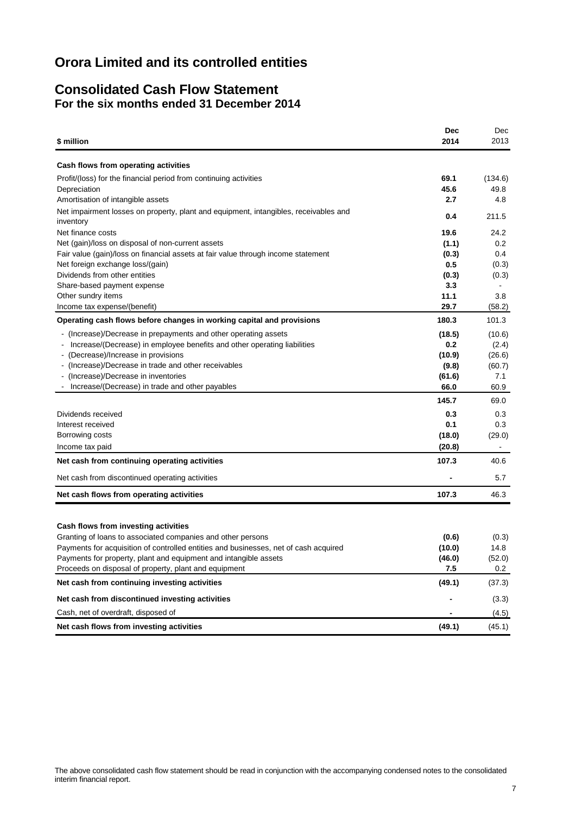# **Consolidated Cash Flow Statement For the six months ended 31 December 2014**

| \$ million                                                                                        | <b>Dec</b><br>2014 | Dec<br>2013 |
|---------------------------------------------------------------------------------------------------|--------------------|-------------|
| Cash flows from operating activities                                                              |                    |             |
| Profit/(loss) for the financial period from continuing activities                                 | 69.1               | (134.6)     |
| Depreciation                                                                                      | 45.6               | 49.8        |
| Amortisation of intangible assets                                                                 | 2.7                | 4.8         |
| Net impairment losses on property, plant and equipment, intangibles, receivables and<br>inventory | 0.4                | 211.5       |
| Net finance costs                                                                                 | 19.6               | 24.2        |
| Net (gain)/loss on disposal of non-current assets                                                 | (1.1)              | 0.2         |
| Fair value (gain)/loss on financial assets at fair value through income statement                 | (0.3)              | 0.4         |
| Net foreign exchange loss/(gain)                                                                  | 0.5                | (0.3)       |
| Dividends from other entities                                                                     | (0.3)              | (0.3)       |
| Share-based payment expense                                                                       | 3.3                |             |
| Other sundry items                                                                                | 11.1               | 3.8         |
| Income tax expense/(benefit)                                                                      | 29.7               | (58.2)      |
| Operating cash flows before changes in working capital and provisions                             | 180.3              | 101.3       |
| - (Increase)/Decrease in prepayments and other operating assets                                   | (18.5)             | (10.6)      |
| Increase/(Decrease) in employee benefits and other operating liabilities                          | 0.2                | (2.4)       |
| - (Decrease)/Increase in provisions                                                               | (10.9)             | (26.6)      |
| - (Increase)/Decrease in trade and other receivables                                              | (9.8)              | (60.7)      |
| - (Increase)/Decrease in inventories                                                              | (61.6)             | 7.1         |
| Increase/(Decrease) in trade and other payables                                                   | 66.0               | 60.9        |
|                                                                                                   | 145.7              | 69.0        |
| Dividends received                                                                                | 0.3                | 0.3         |
| Interest received                                                                                 | 0.1                | 0.3         |
| Borrowing costs                                                                                   | (18.0)             | (29.0)      |
| Income tax paid                                                                                   | (20.8)             |             |
| Net cash from continuing operating activities                                                     | 107.3              | 40.6        |
| Net cash from discontinued operating activities                                                   |                    | 5.7         |
| Net cash flows from operating activities                                                          | 107.3              | 46.3        |
|                                                                                                   |                    |             |
| Cash flows from investing activities                                                              |                    |             |
| Granting of loans to associated companies and other persons                                       | (0.6)              | (0.3)       |
| Payments for acquisition of controlled entities and businesses, net of cash acquired              | (10.0)             | 14.8        |
| Payments for property, plant and equipment and intangible assets                                  | (46.0)             | (52.0)      |
| Proceeds on disposal of property, plant and equipment                                             | 7.5                | 0.2         |
| Net cash from continuing investing activities                                                     | (49.1)             | (37.3)      |
| Net cash from discontinued investing activities                                                   |                    | (3.3)       |
| Cash, net of overdraft, disposed of                                                               |                    | (4.5)       |
| Net cash flows from investing activities                                                          | (49.1)             | (45.1)      |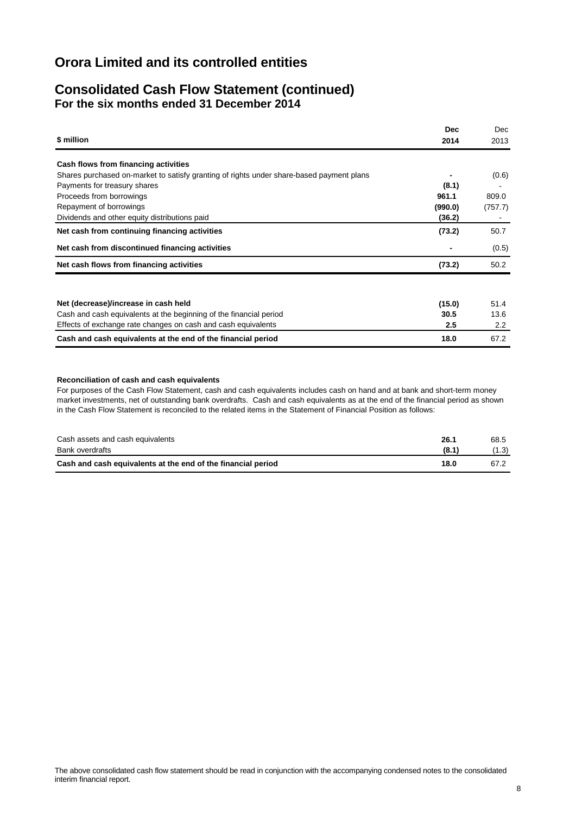# **Consolidated Cash Flow Statement (continued) For the six months ended 31 December 2014**

|                                                                                          | <b>Dec</b> | Dec     |
|------------------------------------------------------------------------------------------|------------|---------|
| \$ million                                                                               | 2014       | 2013    |
| Cash flows from financing activities                                                     |            |         |
| Shares purchased on-market to satisfy granting of rights under share-based payment plans |            | (0.6)   |
| Payments for treasury shares                                                             | (8.1)      |         |
| Proceeds from borrowings                                                                 | 961.1      | 809.0   |
| Repayment of borrowings                                                                  | (990.0)    | (757.7) |
| Dividends and other equity distributions paid                                            | (36.2)     |         |
| Net cash from continuing financing activities                                            | (73.2)     | 50.7    |
| Net cash from discontinued financing activities                                          |            | (0.5)   |
| Net cash flows from financing activities                                                 | (73.2)     | 50.2    |
|                                                                                          |            |         |
| Net (decrease)/increase in cash held                                                     | (15.0)     | 51.4    |
| Cash and cash equivalents at the beginning of the financial period                       | 30.5       | 13.6    |
| Effects of exchange rate changes on cash and cash equivalents                            | 2.5        | 2.2     |
| Cash and cash equivalents at the end of the financial period                             | 18.0       | 67.2    |

#### **Reconciliation of cash and cash equivalents**

For purposes of the Cash Flow Statement, cash and cash equivalents includes cash on hand and at bank and short-term money market investments, net of outstanding bank overdrafts. Cash and cash equivalents as at the end of the financial period as shown in the Cash Flow Statement is reconciled to the related items in the Statement of Financial Position as follows:

| Cash assets and cash equivalents                             | 26.1  | 68.5 |
|--------------------------------------------------------------|-------|------|
| Bank overdrafts                                              | (8.1) |      |
| Cash and cash equivalents at the end of the financial period | 18.0  | 67.2 |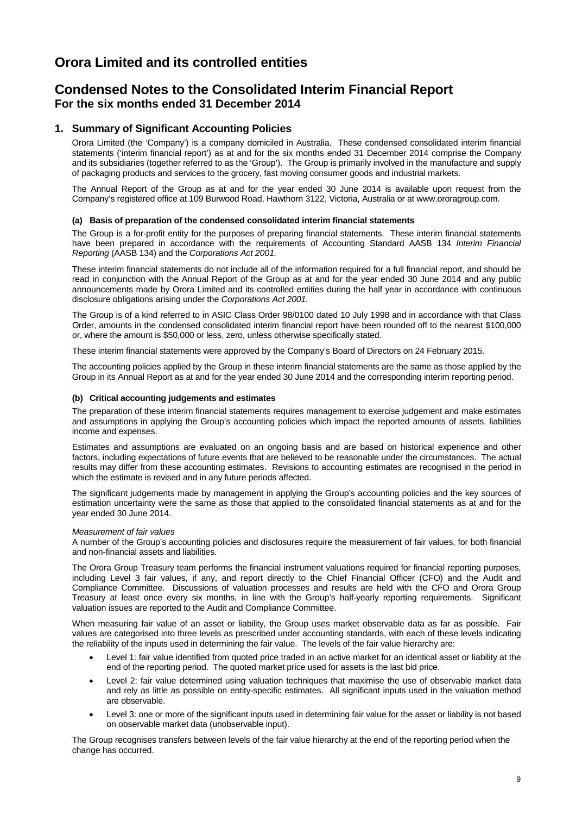# **Condensed Notes to the Consolidated Interim Financial Report For the six months ended 31 December 2014**

## **1. Summary of Significant Accounting Policies**

Orora Limited (the 'Company') is a company domiciled in Australia. These condensed consolidated interim financial statements ('interim financial report') as at and for the six months ended 31 December 2014 comprise the Company and its subsidiaries (together referred to as the 'Group'). The Group is primarily involved in the manufacture and supply of packaging products and services to the grocery, fast moving consumer goods and industrial markets.

The Annual Report of the Group as at and for the year ended 30 June 2014 is available upon request from the Company's registered office at 109 Burwood Road, Hawthorn 3122, Victoria, Australia or at www.ororagroup.com.

#### **(a) Basis of preparation of the condensed consolidated interim financial statements**

The Group is a for-profit entity for the purposes of preparing financial statements. These interim financial statements have been prepared in accordance with the requirements of Accounting Standard AASB 134 *Interim Financial Reporting* (AASB 134) and the *Corporations Act 2001.*

These interim financial statements do not include all of the information required for a full financial report, and should be read in conjunction with the Annual Report of the Group as at and for the year ended 30 June 2014 and any public announcements made by Orora Limited and its controlled entities during the half year in accordance with continuous disclosure obligations arising under the *Corporations Act 2001*.

The Group is of a kind referred to in ASIC Class Order 98/0100 dated 10 July 1998 and in accordance with that Class Order, amounts in the condensed consolidated interim financial report have been rounded off to the nearest \$100,000 or, where the amount is \$50,000 or less, zero, unless otherwise specifically stated.

These interim financial statements were approved by the Company's Board of Directors on 24 February 2015.

The accounting policies applied by the Group in these interim financial statements are the same as those applied by the Group in its Annual Report as at and for the year ended 30 June 2014 and the corresponding interim reporting period.

#### **(b) Critical accounting judgements and estimates**

The preparation of these interim financial statements requires management to exercise judgement and make estimates and assumptions in applying the Group's accounting policies which impact the reported amounts of assets, liabilities income and expenses.

Estimates and assumptions are evaluated on an ongoing basis and are based on historical experience and other factors, including expectations of future events that are believed to be reasonable under the circumstances. The actual results may differ from these accounting estimates. Revisions to accounting estimates are recognised in the period in which the estimate is revised and in any future periods affected.

The significant judgements made by management in applying the Group's accounting policies and the key sources of estimation uncertainty were the same as those that applied to the consolidated financial statements as at and for the year ended 30 June 2014.

#### *Measurement of fair values*

A number of the Group's accounting policies and disclosures require the measurement of fair values, for both financial and non-financial assets and liabilities.

The Orora Group Treasury team performs the financial instrument valuations required for financial reporting purposes, including Level 3 fair values, if any, and report directly to the Chief Financial Officer (CFO) and the Audit and Compliance Committee. Discussions of valuation processes and results are held with the CFO and Orora Group Treasury at least once every six months, in line with the Group's half-yearly reporting requirements. Significant valuation issues are reported to the Audit and Compliance Committee.

When measuring fair value of an asset or liability, the Group uses market observable data as far as possible. Fair values are categorised into three levels as prescribed under accounting standards, with each of these levels indicating the reliability of the inputs used in determining the fair value. The levels of the fair value hierarchy are:

- Level 1: fair value identified from quoted price traded in an active market for an identical asset or liability at the end of the reporting period. The quoted market price used for assets is the last bid price.
- Level 2: fair value determined using valuation techniques that maximise the use of observable market data and rely as little as possible on entity-specific estimates. All significant inputs used in the valuation method are observable.
- Level 3: one or more of the significant inputs used in determining fair value for the asset or liability is not based on observable market data (unobservable input).

The Group recognises transfers between levels of the fair value hierarchy at the end of the reporting period when the change has occurred.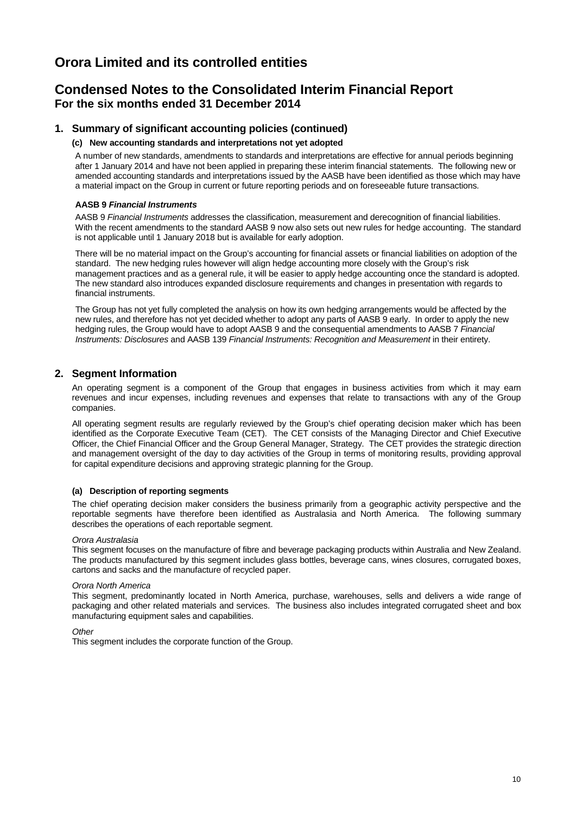# **Condensed Notes to the Consolidated Interim Financial Report For the six months ended 31 December 2014**

## **1. Summary of significant accounting policies (continued)**

#### **(c) New accounting standards and interpretations not yet adopted**

A number of new standards, amendments to standards and interpretations are effective for annual periods beginning after 1 January 2014 and have not been applied in preparing these interim financial statements. The following new or amended accounting standards and interpretations issued by the AASB have been identified as those which may have a material impact on the Group in current or future reporting periods and on foreseeable future transactions.

#### **AASB 9** *Financial Instruments*

AASB 9 *Financial Instruments* addresses the classification, measurement and derecognition of financial liabilities. With the recent amendments to the standard AASB 9 now also sets out new rules for hedge accounting. The standard is not applicable until 1 January 2018 but is available for early adoption.

There will be no material impact on the Group's accounting for financial assets or financial liabilities on adoption of the standard. The new hedging rules however will align hedge accounting more closely with the Group's risk management practices and as a general rule, it will be easier to apply hedge accounting once the standard is adopted. The new standard also introduces expanded disclosure requirements and changes in presentation with regards to financial instruments.

The Group has not yet fully completed the analysis on how its own hedging arrangements would be affected by the new rules, and therefore has not yet decided whether to adopt any parts of AASB 9 early. In order to apply the new hedging rules, the Group would have to adopt AASB 9 and the consequential amendments to AASB 7 *Financial Instruments: Disclosures* and AASB 139 *Financial Instruments: Recognition and Measurement* in their entirety.

## **2. Segment Information**

An operating segment is a component of the Group that engages in business activities from which it may earn revenues and incur expenses, including revenues and expenses that relate to transactions with any of the Group companies.

All operating segment results are regularly reviewed by the Group's chief operating decision maker which has been identified as the Corporate Executive Team (CET). The CET consists of the Managing Director and Chief Executive Officer, the Chief Financial Officer and the Group General Manager, Strategy. The CET provides the strategic direction and management oversight of the day to day activities of the Group in terms of monitoring results, providing approval for capital expenditure decisions and approving strategic planning for the Group.

### **(a) Description of reporting segments**

The chief operating decision maker considers the business primarily from a geographic activity perspective and the reportable segments have therefore been identified as Australasia and North America. The following summary describes the operations of each reportable segment.

#### *Orora Australasia*

This segment focuses on the manufacture of fibre and beverage packaging products within Australia and New Zealand. The products manufactured by this segment includes glass bottles, beverage cans, wines closures, corrugated boxes, cartons and sacks and the manufacture of recycled paper.

#### *Orora North America*

This segment, predominantly located in North America, purchase, warehouses, sells and delivers a wide range of packaging and other related materials and services. The business also includes integrated corrugated sheet and box manufacturing equipment sales and capabilities.

*Other*

This segment includes the corporate function of the Group.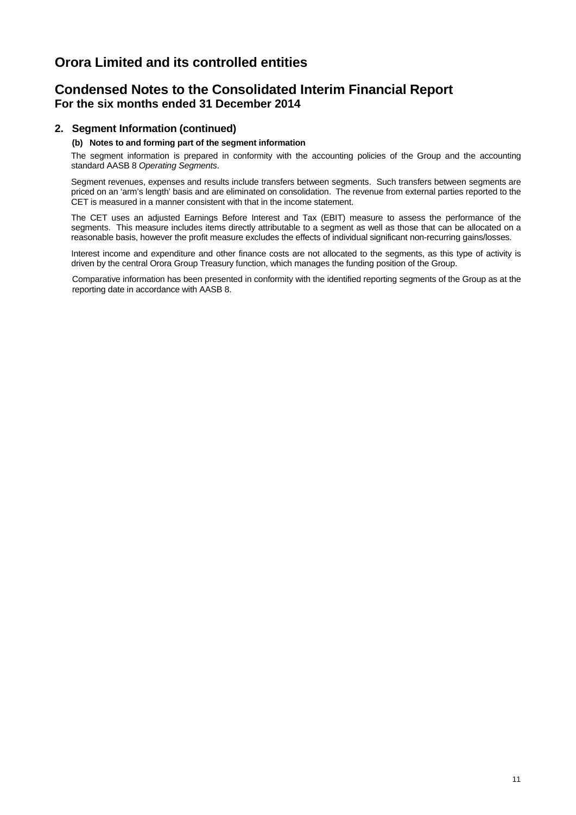# **Condensed Notes to the Consolidated Interim Financial Report For the six months ended 31 December 2014**

## **2. Segment Information (continued)**

## **(b) Notes to and forming part of the segment information**

The segment information is prepared in conformity with the accounting policies of the Group and the accounting standard AASB 8 *Operating Segments*.

Segment revenues, expenses and results include transfers between segments. Such transfers between segments are priced on an 'arm's length' basis and are eliminated on consolidation. The revenue from external parties reported to the CET is measured in a manner consistent with that in the income statement.

The CET uses an adjusted Earnings Before Interest and Tax (EBIT) measure to assess the performance of the segments. This measure includes items directly attributable to a segment as well as those that can be allocated on a reasonable basis, however the profit measure excludes the effects of individual significant non-recurring gains/losses.

Interest income and expenditure and other finance costs are not allocated to the segments, as this type of activity is driven by the central Orora Group Treasury function, which manages the funding position of the Group.

Comparative information has been presented in conformity with the identified reporting segments of the Group as at the reporting date in accordance with AASB 8.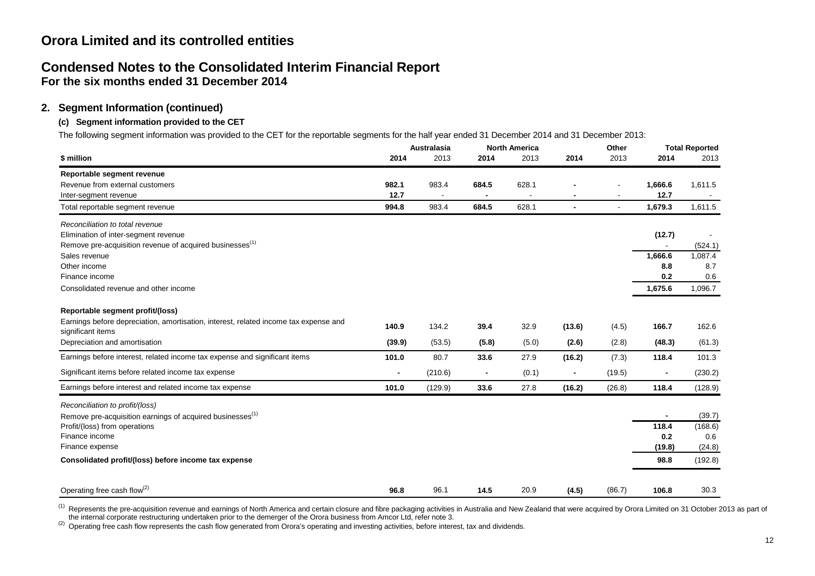# **Condensed Notes to the Consolidated Interim Financial Report For the six months ended 31 December 2014**

## **2. Segment Information (continued)**

## **(c) Segment information provided to the CET**

The following segment information was provided to the CET for the reportable segments for the half year ended 31 December 2014 and 31 December 2013:

|                                                                                                           | <b>Australasia</b> |         |                | <b>North America</b> |                | Other                    |                | <b>Total Reported</b> |
|-----------------------------------------------------------------------------------------------------------|--------------------|---------|----------------|----------------------|----------------|--------------------------|----------------|-----------------------|
| \$ million                                                                                                | 2014               | 2013    | 2014           | 2013                 | 2014           | 2013                     | 2014           | 2013                  |
| Reportable segment revenue                                                                                |                    |         |                |                      |                |                          |                |                       |
| Revenue from external customers                                                                           | 982.1              | 983.4   | 684.5          | 628.1                |                |                          | 1,666.6        | 1,611.5               |
| Inter-segment revenue                                                                                     | 12.7               |         |                |                      |                |                          | 12.7           |                       |
| Total reportable segment revenue                                                                          | 994.8              | 983.4   | 684.5          | 628.1                | $\blacksquare$ | $\overline{\phantom{a}}$ | 1,679.3        | 1,611.5               |
| Reconciliation to total revenue                                                                           |                    |         |                |                      |                |                          |                |                       |
| Elimination of inter-segment revenue                                                                      |                    |         |                |                      |                |                          | (12.7)         |                       |
| Remove pre-acquisition revenue of acquired businesses <sup>(1)</sup>                                      |                    |         |                |                      |                |                          |                | (524.1)               |
| Sales revenue                                                                                             |                    |         |                |                      |                |                          | 1,666.6        | 1,087.4               |
| Other income                                                                                              |                    |         |                |                      |                |                          | 8.8            | 8.7                   |
| Finance income                                                                                            |                    |         |                |                      |                |                          | 0.2            | 0.6                   |
| Consolidated revenue and other income                                                                     |                    |         |                |                      |                |                          | 1,675.6        | 1,096.7               |
| Reportable segment profit/(loss)                                                                          |                    |         |                |                      |                |                          |                |                       |
| Earnings before depreciation, amortisation, interest, related income tax expense and<br>significant items | 140.9              | 134.2   | 39.4           | 32.9                 | (13.6)         | (4.5)                    | 166.7          | 162.6                 |
| Depreciation and amortisation                                                                             | (39.9)             | (53.5)  | (5.8)          | (5.0)                | (2.6)          | (2.8)                    | (48.3)         | (61.3)                |
| Earnings before interest, related income tax expense and significant items                                | 101.0              | 80.7    | 33.6           | 27.9                 | (16.2)         | (7.3)                    | 118.4          | 101.3                 |
| Significant items before related income tax expense                                                       |                    | (210.6) | $\blacksquare$ | (0.1)                |                | (19.5)                   | $\blacksquare$ | (230.2)               |
| Earnings before interest and related income tax expense                                                   | 101.0              | (129.9) | 33.6           | 27.8                 | (16.2)         | (26.8)                   | 118.4          | (128.9)               |
| Reconciliation to profit/(loss)                                                                           |                    |         |                |                      |                |                          |                |                       |
| Remove pre-acquisition earnings of acquired businesses <sup>(1)</sup>                                     |                    |         |                |                      |                |                          | $\blacksquare$ | (39.7)                |
| Profit/(loss) from operations                                                                             |                    |         |                |                      |                |                          | 118.4          | (168.6)               |
| Finance income                                                                                            |                    |         |                |                      |                |                          | 0.2            | 0.6                   |
| Finance expense                                                                                           |                    |         |                |                      |                |                          | (19.8)         | (24.8)                |
| Consolidated profit/(loss) before income tax expense                                                      |                    |         |                |                      |                |                          | 98.8           | (192.8)               |
| Operating free cash flow <sup>(2)</sup>                                                                   | 96.8               | 96.1    | 14.5           | 20.9                 | (4.5)          | (86.7)                   | 106.8          | 30.3                  |

 $^{(1)}$  Represents the pre-acquisition revenue and earnings of North America and certain closure and fibre packaging activities in Australia and New Zealand that were acquired by Orora Limited on 31 October 2013 as part of the internal corporate restructuring undertaken prior to the demerger of the Orora business from Amcor Ltd, refer note 3.<br><sup>(2)</sup> Operating free cash flow represents the cash flow generated from Orora's operating and investi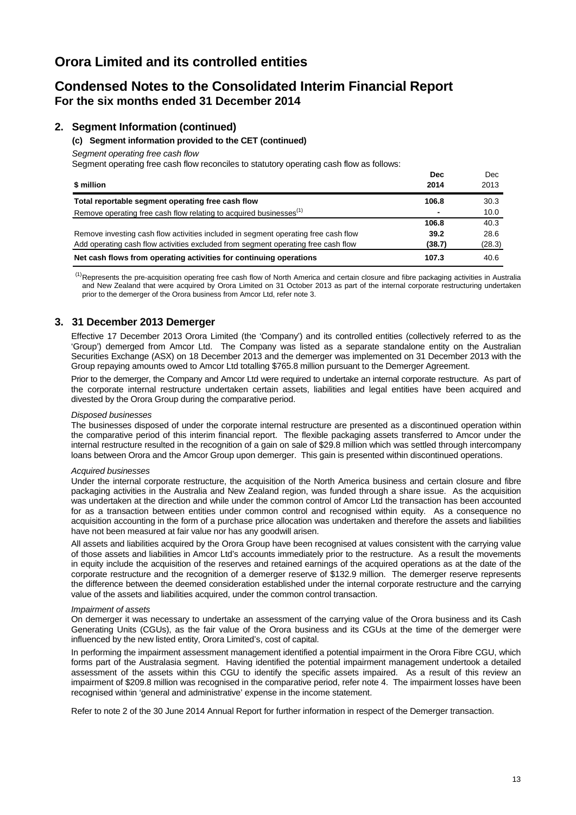# **Condensed Notes to the Consolidated Interim Financial Report For the six months ended 31 December 2014**

## **2. Segment Information (continued)**

#### **(c) Segment information provided to the CET (continued)**

*Segment operating free cash flow*

Segment operating free cash flow reconciles to statutory operating cash flow as follows:

|                                                                                    | <b>Dec</b> | Dec    |
|------------------------------------------------------------------------------------|------------|--------|
| \$ million                                                                         | 2014       | 2013   |
| Total reportable segment operating free cash flow                                  | 106.8      | 30.3   |
| Remove operating free cash flow relating to acquired businesses <sup>(1)</sup>     |            | 10.0   |
|                                                                                    | 106.8      | 40.3   |
| Remove investing cash flow activities included in segment operating free cash flow | 39.2       | 28.6   |
| Add operating cash flow activities excluded from segment operating free cash flow  | (38.7)     | (28.3) |
| Net cash flows from operating activities for continuing operations                 | 107.3      | 40.6   |

<sup>(1)</sup>Represents the pre-acquisition operating free cash flow of North America and certain closure and fibre packaging activities in Australia and New Zealand that were acquired by Orora Limited on 31 October 2013 as part of the internal corporate restructuring undertaken prior to the demerger of the Orora business from Amcor Ltd, refer note 3.

## **3. 31 December 2013 Demerger**

Effective 17 December 2013 Orora Limited (the 'Company') and its controlled entities (collectively referred to as the 'Group') demerged from Amcor Ltd. The Company was listed as a separate standalone entity on the Australian Securities Exchange (ASX) on 18 December 2013 and the demerger was implemented on 31 December 2013 with the Group repaying amounts owed to Amcor Ltd totalling \$765.8 million pursuant to the Demerger Agreement.

Prior to the demerger, the Company and Amcor Ltd were required to undertake an internal corporate restructure. As part of the corporate internal restructure undertaken certain assets, liabilities and legal entities have been acquired and divested by the Orora Group during the comparative period.

#### *Disposed businesses*

The businesses disposed of under the corporate internal restructure are presented as a discontinued operation within the comparative period of this interim financial report. The flexible packaging assets transferred to Amcor under the internal restructure resulted in the recognition of a gain on sale of \$29.8 million which was settled through intercompany loans between Orora and the Amcor Group upon demerger. This gain is presented within discontinued operations.

#### *Acquired businesses*

Under the internal corporate restructure, the acquisition of the North America business and certain closure and fibre packaging activities in the Australia and New Zealand region, was funded through a share issue. As the acquisition was undertaken at the direction and while under the common control of Amcor Ltd the transaction has been accounted for as a transaction between entities under common control and recognised within equity. As a consequence no acquisition accounting in the form of a purchase price allocation was undertaken and therefore the assets and liabilities have not been measured at fair value nor has any goodwill arisen.

All assets and liabilities acquired by the Orora Group have been recognised at values consistent with the carrying value of those assets and liabilities in Amcor Ltd's accounts immediately prior to the restructure. As a result the movements in equity include the acquisition of the reserves and retained earnings of the acquired operations as at the date of the corporate restructure and the recognition of a demerger reserve of \$132.9 million. The demerger reserve represents the difference between the deemed consideration established under the internal corporate restructure and the carrying value of the assets and liabilities acquired, under the common control transaction.

#### *Impairment of assets*

On demerger it was necessary to undertake an assessment of the carrying value of the Orora business and its Cash Generating Units (CGUs), as the fair value of the Orora business and its CGUs at the time of the demerger were influenced by the new listed entity, Orora Limited's, cost of capital.

In performing the impairment assessment management identified a potential impairment in the Orora Fibre CGU, which forms part of the Australasia segment. Having identified the potential impairment management undertook a detailed assessment of the assets within this CGU to identify the specific assets impaired. As a result of this review an impairment of \$209.8 million was recognised in the comparative period, refer note 4. The impairment losses have been recognised within 'general and administrative' expense in the income statement.

Refer to note 2 of the 30 June 2014 Annual Report for further information in respect of the Demerger transaction.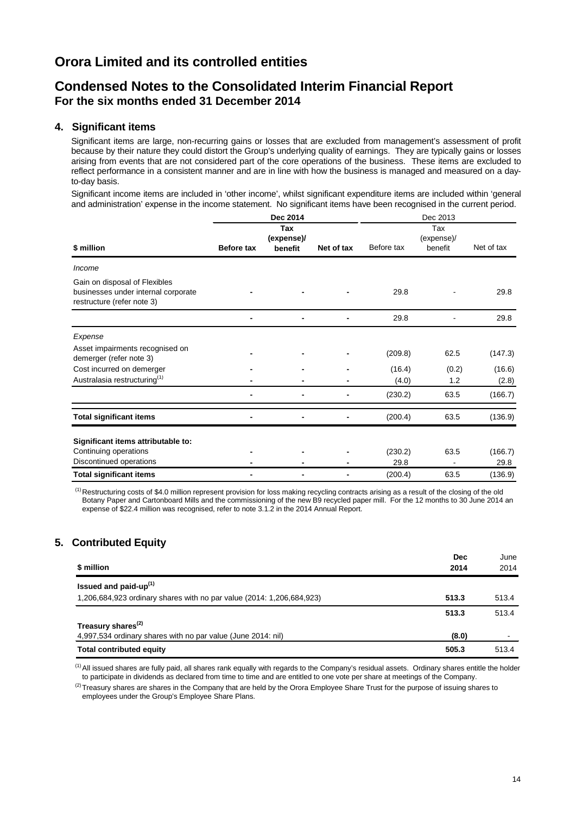# **Condensed Notes to the Consolidated Interim Financial Report For the six months ended 31 December 2014**

## **4. Significant items**

Significant items are large, non-recurring gains or losses that are excluded from management's assessment of profit because by their nature they could distort the Group's underlying quality of earnings. They are typically gains or losses arising from events that are not considered part of the core operations of the business. These items are excluded to reflect performance in a consistent manner and are in line with how the business is managed and measured on a dayto-day basis.

Significant income items are included in 'other income', whilst significant expenditure items are included within 'general and administration' expense in the income statement. No significant items have been recognised in the current period.

|                                                                                                    |                   | Dec 2014   |            |            | Dec 2013   |            |  |
|----------------------------------------------------------------------------------------------------|-------------------|------------|------------|------------|------------|------------|--|
|                                                                                                    |                   | Tax        |            |            | Tax        |            |  |
|                                                                                                    |                   | (expense)/ |            |            | (expense)/ |            |  |
| \$ million                                                                                         | <b>Before tax</b> | benefit    | Net of tax | Before tax | benefit    | Net of tax |  |
| Income                                                                                             |                   |            |            |            |            |            |  |
| Gain on disposal of Flexibles<br>businesses under internal corporate<br>restructure (refer note 3) |                   |            |            | 29.8       |            | 29.8       |  |
|                                                                                                    |                   |            | -          | 29.8       |            | 29.8       |  |
| Expense                                                                                            |                   |            |            |            |            |            |  |
| Asset impairments recognised on<br>demerger (refer note 3)                                         |                   |            |            | (209.8)    | 62.5       | (147.3)    |  |
| Cost incurred on demerger                                                                          |                   |            |            | (16.4)     | (0.2)      | (16.6)     |  |
| Australasia restructuring <sup>(1)</sup>                                                           |                   |            |            | (4.0)      | 1.2        | (2.8)      |  |
|                                                                                                    |                   |            | -          | (230.2)    | 63.5       | (166.7)    |  |
| <b>Total significant items</b>                                                                     |                   |            |            | (200.4)    | 63.5       | (136.9)    |  |
| Significant items attributable to:                                                                 |                   |            |            |            |            |            |  |
| Continuing operations                                                                              |                   |            |            | (230.2)    | 63.5       | (166.7)    |  |
| Discontinued operations                                                                            |                   |            |            | 29.8       |            | 29.8       |  |
| <b>Total significant items</b>                                                                     |                   |            | -          | (200.4)    | 63.5       | (136.9)    |  |

 $<sup>(1)</sup>$  Restructuring costs of \$4.0 million represent provision for loss making recycling contracts arising as a result of the closing of the old</sup> Botany Paper and Cartonboard Mills and the commissioning of the new B9 recycled paper mill. For the 12 months to 30 June 2014 an expense of \$22.4 million was recognised, refer to note 3.1.2 in the 2014 Annual Report.

# **5. Contributed Equity**

| \$ million                                                            | <b>Dec</b><br>2014 | June<br>2014 |
|-----------------------------------------------------------------------|--------------------|--------------|
| Issued and paid-up <sup>(1)</sup>                                     |                    |              |
| 1,206,684,923 ordinary shares with no par value (2014: 1,206,684,923) | 513.3              | 513.4        |
|                                                                       | 513.3              | 513.4        |
| Treasury shares <sup>(2)</sup>                                        |                    |              |
| 4,997,534 ordinary shares with no par value (June 2014: nil)          | (8.0)              |              |
| <b>Total contributed equity</b>                                       | 505.3              | 513.4        |

<sup>(1)</sup> All issued shares are fully paid, all shares rank equally with regards to the Company's residual assets. Ordinary shares entitle the holder to participate in dividends as declared from time to time and are entitled to one vote per share at meetings of the Company.

 $^{(2)}$ Treasury shares are shares in the Company that are held by the Orora Employee Share Trust for the purpose of issuing shares to employees under the Group's Employee Share Plans.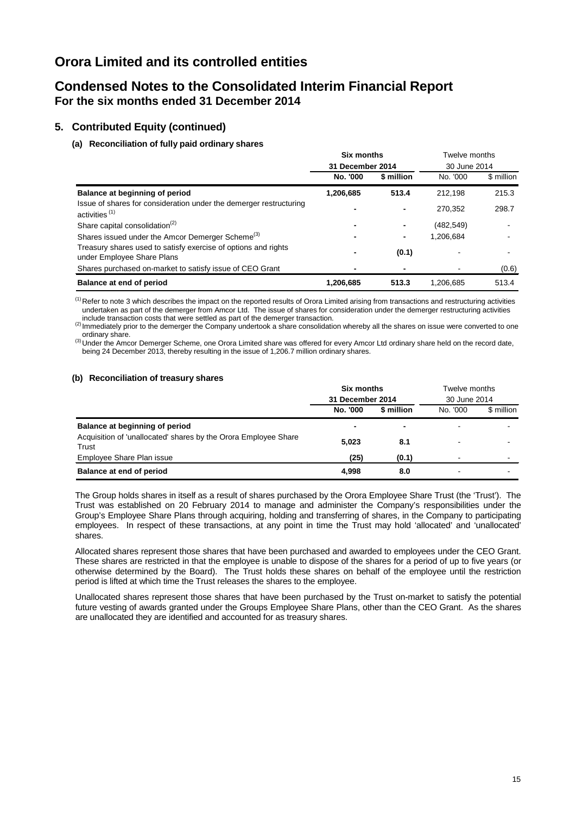# **Condensed Notes to the Consolidated Interim Financial Report For the six months ended 31 December 2014**

## **5. Contributed Equity (continued)**

## **(a) Reconciliation of fully paid ordinary shares**

|                                                                                                 | Six months       |                | Twelve months |            |
|-------------------------------------------------------------------------------------------------|------------------|----------------|---------------|------------|
|                                                                                                 | 31 December 2014 |                | 30 June 2014  |            |
|                                                                                                 | No. '000         | \$ million     | No. '000      | \$ million |
| Balance at beginning of period                                                                  | 1,206,685        | 513.4          | 212.198       | 215.3      |
| Issue of shares for consideration under the demerger restructuring<br>activities <sup>(1)</sup> |                  |                | 270.352       | 298.7      |
| Share capital consolidation <sup>(2)</sup>                                                      |                  | $\blacksquare$ | (482, 549)    |            |
| Shares issued under the Amcor Demerger Scheme <sup>(3)</sup>                                    |                  | -              | 1,206,684     |            |
| Treasury shares used to satisfy exercise of options and rights<br>under Employee Share Plans    |                  | (0.1)          |               |            |
| Shares purchased on-market to satisfy issue of CEO Grant                                        |                  |                |               | (0.6)      |
| Balance at end of period                                                                        | 1,206,685        | 513.3          | 1,206,685     | 513.4      |

<sup>(1)</sup>Refer to note 3 which describes the impact on the reported results of Orora Limited arising from transactions and restructuring activities undertaken as part of the demerger from Amcor Ltd. The issue of shares for consideration under the demerger restructuring activities include transaction costs that were settled as part of the demerger transaction.

Include transaction costs that were settled as part of the demerger the Company undertook a share consolidation whereby all the shares on issue were converted to one<br>ordinary share.

<sup>(3)</sup> Under the Amcor Demerger Scheme, one Orora Limited share was offered for every Amcor Ltd ordinary share held on the record date, being 24 December 2013, thereby resulting in the issue of 1,206.7 million ordinary shares.

#### **(b) Reconciliation of treasury shares**

|                                                                          | <b>Six months</b> |                | Twelve months |            |  |
|--------------------------------------------------------------------------|-------------------|----------------|---------------|------------|--|
|                                                                          | 31 December 2014  |                | 30 June 2014  |            |  |
|                                                                          | No. '000          | \$ million     | No. '000      | \$ million |  |
| Balance at beginning of period                                           |                   | $\blacksquare$ | -             |            |  |
| Acquisition of 'unallocated' shares by the Orora Employee Share<br>Trust | 5.023             | 8.1            | -             |            |  |
| Employee Share Plan issue                                                | (25)              | (0.1)          | -             |            |  |
| Balance at end of period                                                 | 4,998             | 8.0            | -             |            |  |

The Group holds shares in itself as a result of shares purchased by the Orora Employee Share Trust (the 'Trust'). The Trust was established on 20 February 2014 to manage and administer the Company's responsibilities under the Group's Employee Share Plans through acquiring, holding and transferring of shares, in the Company to participating employees. In respect of these transactions, at any point in time the Trust may hold 'allocated' and 'unallocated' shares.

Allocated shares represent those shares that have been purchased and awarded to employees under the CEO Grant. These shares are restricted in that the employee is unable to dispose of the shares for a period of up to five years (or otherwise determined by the Board). The Trust holds these shares on behalf of the employee until the restriction period is lifted at which time the Trust releases the shares to the employee.

Unallocated shares represent those shares that have been purchased by the Trust on-market to satisfy the potential future vesting of awards granted under the Groups Employee Share Plans, other than the CEO Grant. As the shares are unallocated they are identified and accounted for as treasury shares.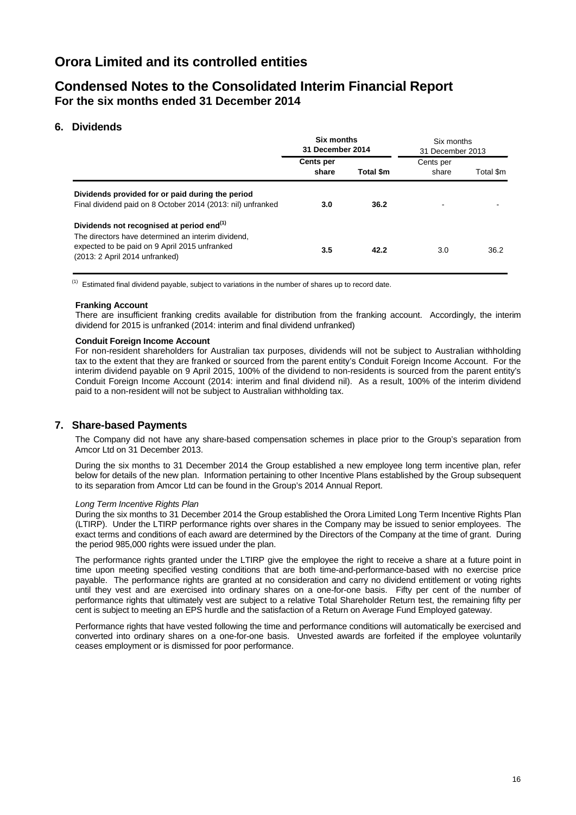# **Condensed Notes to the Consolidated Interim Financial Report For the six months ended 31 December 2014**

## **6. Dividends**

|                                                                                                                                                                                                | Six months<br>31 December 2014 |           | Six months<br>31 December 2013 |           |  |
|------------------------------------------------------------------------------------------------------------------------------------------------------------------------------------------------|--------------------------------|-----------|--------------------------------|-----------|--|
|                                                                                                                                                                                                | <b>Cents per</b><br>share      | Total \$m | Cents per<br>share             | Total \$m |  |
| Dividends provided for or paid during the period<br>Final dividend paid on 8 October 2014 (2013: nil) unfranked                                                                                | 3.0                            | 36.2      |                                |           |  |
| Dividends not recognised at period end <sup>(1)</sup><br>The directors have determined an interim dividend.<br>expected to be paid on 9 April 2015 unfranked<br>(2013: 2 April 2014 unfranked) | 3.5                            | 42.2      | 3.0                            | 36.2      |  |

 $<sup>(1)</sup>$  Estimated final dividend payable, subject to variations in the number of shares up to record date.</sup>

#### **Franking Account**

There are insufficient franking credits available for distribution from the franking account. Accordingly, the interim dividend for 2015 is unfranked (2014: interim and final dividend unfranked)

#### **Conduit Foreign Income Account**

For non-resident shareholders for Australian tax purposes, dividends will not be subject to Australian withholding tax to the extent that they are franked or sourced from the parent entity's Conduit Foreign Income Account. For the interim dividend payable on 9 April 2015, 100% of the dividend to non-residents is sourced from the parent entity's Conduit Foreign Income Account (2014: interim and final dividend nil). As a result, 100% of the interim dividend paid to a non-resident will not be subject to Australian withholding tax.

### **7. Share-based Payments**

The Company did not have any share-based compensation schemes in place prior to the Group's separation from Amcor Ltd on 31 December 2013.

During the six months to 31 December 2014 the Group established a new employee long term incentive plan, refer below for details of the new plan. Information pertaining to other Incentive Plans established by the Group subsequent to its separation from Amcor Ltd can be found in the Group's 2014 Annual Report.

#### *Long Term Incentive Rights Plan*

During the six months to 31 December 2014 the Group established the Orora Limited Long Term Incentive Rights Plan (LTIRP). Under the LTIRP performance rights over shares in the Company may be issued to senior employees. The exact terms and conditions of each award are determined by the Directors of the Company at the time of grant. During the period 985,000 rights were issued under the plan.

The performance rights granted under the LTIRP give the employee the right to receive a share at a future point in time upon meeting specified vesting conditions that are both time-and-performance-based with no exercise price payable. The performance rights are granted at no consideration and carry no dividend entitlement or voting rights until they vest and are exercised into ordinary shares on a one-for-one basis. Fifty per cent of the number of performance rights that ultimately vest are subject to a relative Total Shareholder Return test, the remaining fifty per cent is subject to meeting an EPS hurdle and the satisfaction of a Return on Average Fund Employed gateway.

Performance rights that have vested following the time and performance conditions will automatically be exercised and converted into ordinary shares on a one-for-one basis. Unvested awards are forfeited if the employee voluntarily ceases employment or is dismissed for poor performance.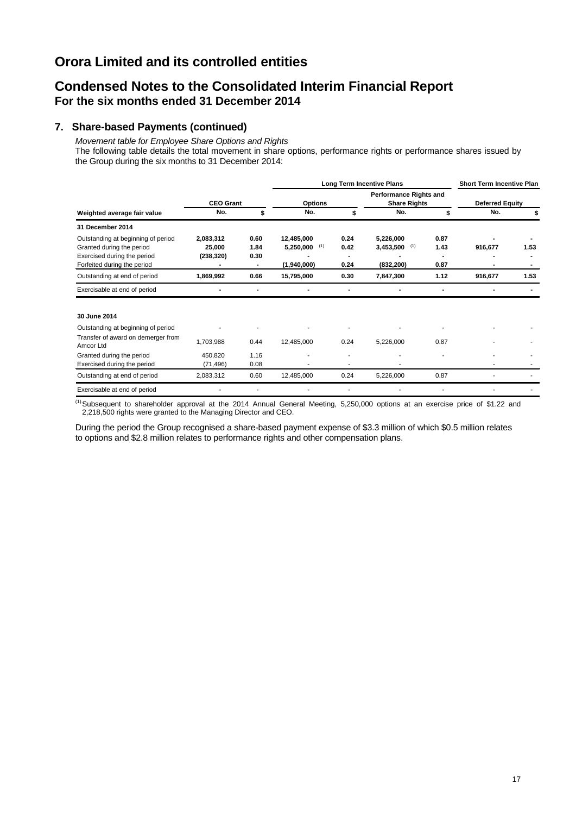# **Condensed Notes to the Consolidated Interim Financial Report For the six months ended 31 December 2014**

## **7. Share-based Payments (continued)**

*Movement table for Employee Share Options and Rights* The following table details the total movement in share options, performance rights or performance shares issued by the Group during the six months to 31 December 2014:

|                                                                                                                               |                                   |                                        |                                                                        |                      | <b>Long Term Incentive Plans</b>           |                        | <b>Short Term Incentive Plan</b> |      |
|-------------------------------------------------------------------------------------------------------------------------------|-----------------------------------|----------------------------------------|------------------------------------------------------------------------|----------------------|--------------------------------------------|------------------------|----------------------------------|------|
|                                                                                                                               | <b>CEO Grant</b>                  |                                        | <b>Performance Rights and</b><br><b>Options</b><br><b>Share Rights</b> |                      |                                            | <b>Deferred Equity</b> |                                  |      |
| Weighted average fair value                                                                                                   | No.                               | \$                                     | No.                                                                    |                      | No.                                        |                        | No.                              |      |
| 31 December 2014                                                                                                              |                                   |                                        |                                                                        |                      |                                            |                        |                                  |      |
| Outstanding at beginning of period<br>Granted during the period<br>Exercised during the period<br>Forfeited during the period | 2,083,312<br>25,000<br>(238, 320) | 0.60<br>1.84<br>0.30<br>$\blacksquare$ | 12,485,000<br>$5,250,000$ (1)<br>(1,940,000)                           | 0.24<br>0.42<br>0.24 | 5,226,000<br>$3,453,500$ (1)<br>(832, 200) | 0.87<br>1.43<br>0.87   | 916,677                          | 1.53 |
| Outstanding at end of period                                                                                                  | 1,869,992                         | 0.66                                   | 15,795,000                                                             | 0.30                 | 7,847,300                                  | 1.12                   | 916,677                          | 1.53 |
| Exercisable at end of period                                                                                                  |                                   | ٠                                      |                                                                        |                      |                                            |                        |                                  |      |
| 30 June 2014                                                                                                                  |                                   |                                        |                                                                        |                      |                                            |                        |                                  |      |
| Outstanding at beginning of period                                                                                            |                                   |                                        |                                                                        |                      |                                            |                        |                                  |      |
| Transfer of award on demerger from<br>Amcor Ltd                                                                               | 1,703,988                         | 0.44                                   | 12,485,000                                                             | 0.24                 | 5,226,000                                  | 0.87                   |                                  |      |
| Granted during the period                                                                                                     | 450,820                           | 1.16                                   |                                                                        |                      |                                            |                        |                                  |      |
| Exercised during the period                                                                                                   | (71, 496)                         | 0.08                                   |                                                                        | ۰                    |                                            |                        |                                  |      |
| Outstanding at end of period                                                                                                  | 2,083,312                         | 0.60                                   | 12,485,000                                                             | 0.24                 | 5,226,000                                  | 0.87                   |                                  |      |
| Exercisable at end of period                                                                                                  |                                   |                                        |                                                                        |                      |                                            |                        |                                  |      |

 $^{(1)}$ Subsequent to shareholder approval at the 2014 Annual General Meeting, 5,250,000 options at an exercise price of \$1.22 and 2,218,500 rights were granted to the Managing Director and CEO.

During the period the Group recognised a share-based payment expense of \$3.3 million of which \$0.5 million relates to options and \$2.8 million relates to performance rights and other compensation plans.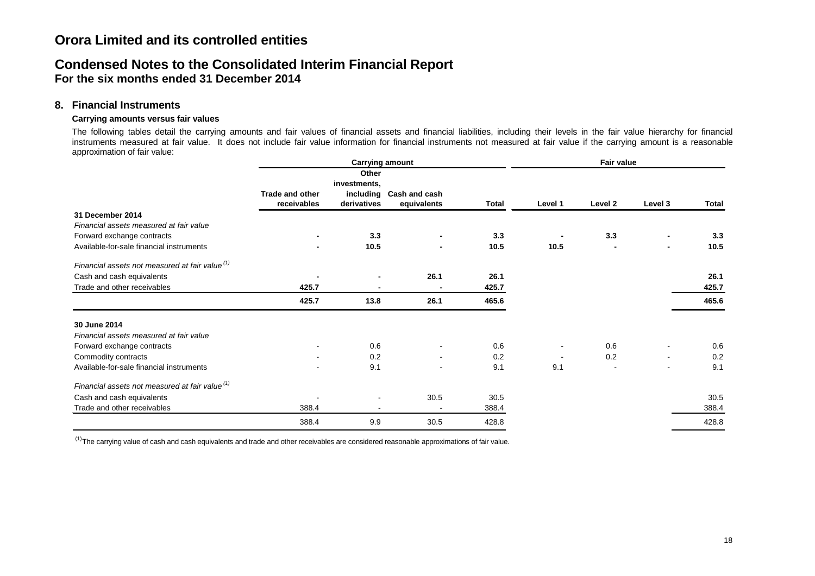# **Condensed Notes to the Consolidated Interim Financial Report For the six months ended 31 December 2014**

## **8. Financial Instruments**

### **Carrying amounts versus fair values**

The following tables detail the carrying amounts and fair values of financial assets and financial liabilities, including their levels in the fair value hierarchy for financial instruments measured at fair value. It does not include fair value information for financial instruments not measured at fair value if the carrying amount is a reasonable approximation of fair value:

|                                                            |                                | Fair value                           |                                        |              |         |                          |         |              |     |  |     |
|------------------------------------------------------------|--------------------------------|--------------------------------------|----------------------------------------|--------------|---------|--------------------------|---------|--------------|-----|--|-----|
|                                                            | Trade and other<br>receivables | Other<br>investments,<br>derivatives | including Cash and cash<br>equivalents | <b>Total</b> | Level 1 | Level 2                  | Level 3 | <b>Total</b> |     |  |     |
| 31 December 2014                                           |                                |                                      |                                        |              |         |                          |         |              |     |  |     |
| Financial assets measured at fair value                    |                                |                                      |                                        |              |         |                          |         |              |     |  |     |
| Forward exchange contracts                                 |                                |                                      |                                        |              | 3.3     |                          | 3.3     |              | 3.3 |  | 3.3 |
| Available-for-sale financial instruments                   |                                | 10.5                                 | $\blacksquare$                         | 10.5         | 10.5    |                          | -       | 10.5         |     |  |     |
| Financial assets not measured at fair value <sup>(1)</sup> |                                |                                      |                                        |              |         |                          |         |              |     |  |     |
| Cash and cash equivalents                                  |                                | $\blacksquare$                       | 26.1                                   | 26.1         |         |                          |         | 26.1         |     |  |     |
| Trade and other receivables                                | 425.7                          |                                      |                                        | 425.7        |         |                          |         | 425.7        |     |  |     |
|                                                            | 425.7                          | 13.8                                 | 26.1                                   | 465.6        |         |                          |         | 465.6        |     |  |     |
| 30 June 2014                                               |                                |                                      |                                        |              |         |                          |         |              |     |  |     |
| Financial assets measured at fair value                    |                                |                                      |                                        |              |         |                          |         |              |     |  |     |
| Forward exchange contracts                                 |                                | 0.6                                  |                                        | 0.6          |         | 0.6                      |         | 0.6          |     |  |     |
| Commodity contracts                                        |                                | 0.2                                  | $\blacksquare$                         | 0.2          |         | 0.2                      |         | 0.2          |     |  |     |
| Available-for-sale financial instruments                   |                                | 9.1                                  | $\blacksquare$                         | 9.1          | 9.1     | $\overline{\phantom{a}}$ | ۰       | 9.1          |     |  |     |
| Financial assets not measured at fair value <sup>(1)</sup> |                                |                                      |                                        |              |         |                          |         |              |     |  |     |
| Cash and cash equivalents                                  |                                |                                      | 30.5                                   | 30.5         |         |                          |         | 30.5         |     |  |     |
| Trade and other receivables                                | 388.4                          |                                      |                                        | 388.4        |         |                          |         | 388.4        |     |  |     |
|                                                            | 388.4                          | 9.9                                  | 30.5                                   | 428.8        |         |                          |         | 428.8        |     |  |     |

 $^{(1)}$ The carrying value of cash and cash equivalents and trade and other receivables are considered reasonable approximations of fair value.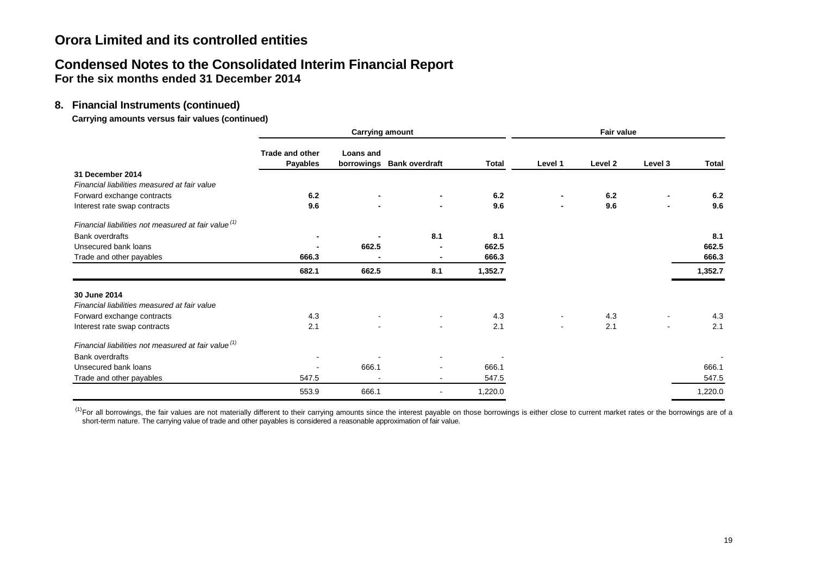# **Condensed Notes to the Consolidated Interim Financial Report For the six months ended 31 December 2014**

## **8. Financial Instruments (continued)**

**Carrying amounts versus fair values (continued)**

|                                                                 |                                    | <b>Carrying amount</b> |                           |              |                |                    | Fair value     |         |  |  |  |       |  |       |  |       |  |       |
|-----------------------------------------------------------------|------------------------------------|------------------------|---------------------------|--------------|----------------|--------------------|----------------|---------|--|--|--|-------|--|-------|--|-------|--|-------|
|                                                                 | Trade and other<br><b>Payables</b> | <b>Loans and</b>       | borrowings Bank overdraft | <b>Total</b> | Level 1        | Level <sub>2</sub> | Level 3        | Total   |  |  |  |       |  |       |  |       |  |       |
| 31 December 2014                                                |                                    |                        |                           |              |                |                    |                |         |  |  |  |       |  |       |  |       |  |       |
| Financial liabilities measured at fair value                    |                                    |                        |                           |              |                |                    |                |         |  |  |  |       |  |       |  |       |  |       |
| Forward exchange contracts                                      | 6.2                                | $\blacksquare$         |                           | 6.2          |                | 6.2                |                | 6.2     |  |  |  |       |  |       |  |       |  |       |
| Interest rate swap contracts                                    | 9.6                                |                        | -                         | 9.6          |                | 9.6                | $\blacksquare$ | 9.6     |  |  |  |       |  |       |  |       |  |       |
| Financial liabilities not measured at fair value <sup>(1)</sup> |                                    |                        |                           |              |                |                    |                |         |  |  |  |       |  |       |  |       |  |       |
| <b>Bank overdrafts</b>                                          |                                    |                        | 8.1                       | 8.1          |                |                    |                | 8.1     |  |  |  |       |  |       |  |       |  |       |
| Unsecured bank loans                                            | $\blacksquare$<br>666.3            |                        |                           |              |                |                    |                |         |  |  |  | 662.5 |  | 662.5 |  |       |  | 662.5 |
| Trade and other payables                                        |                                    |                        |                           |              |                |                    |                |         |  |  |  | 666.3 |  |       |  | 666.3 |  |       |
|                                                                 | 682.1                              | 662.5                  | 8.1                       | 1,352.7      |                |                    |                | 1,352.7 |  |  |  |       |  |       |  |       |  |       |
| 30 June 2014                                                    |                                    |                        |                           |              |                |                    |                |         |  |  |  |       |  |       |  |       |  |       |
| Financial liabilities measured at fair value                    |                                    |                        |                           |              |                |                    |                |         |  |  |  |       |  |       |  |       |  |       |
| Forward exchange contracts                                      | 4.3                                |                        |                           | 4.3          |                | 4.3                |                | 4.3     |  |  |  |       |  |       |  |       |  |       |
| Interest rate swap contracts                                    | 2.1                                |                        |                           | 2.1          | $\blacksquare$ | 2.1                | ۰              | 2.1     |  |  |  |       |  |       |  |       |  |       |
| Financial liabilities not measured at fair value <sup>(1)</sup> |                                    |                        |                           |              |                |                    |                |         |  |  |  |       |  |       |  |       |  |       |
| Bank overdrafts                                                 |                                    |                        |                           |              |                |                    |                |         |  |  |  |       |  |       |  |       |  |       |
| Unsecured bank loans                                            | $\overline{\phantom{a}}$           | 666.1                  | $\blacksquare$            | 666.1        |                |                    |                | 666.1   |  |  |  |       |  |       |  |       |  |       |
| Trade and other payables                                        | 547.5                              |                        | $\blacksquare$            | 547.5        |                |                    |                | 547.5   |  |  |  |       |  |       |  |       |  |       |
|                                                                 | 553.9                              | 666.1                  |                           | 1,220.0      |                |                    |                | 1,220.0 |  |  |  |       |  |       |  |       |  |       |

 $<sup>(1)</sup>$  For all borrowings, the fair values are not materially different to their carrying amounts since the interest payable on those borrowings is either close to current market rates or the borrowings are of a</sup> short-term nature. The carrying value of trade and other payables is considered a reasonable approximation of fair value.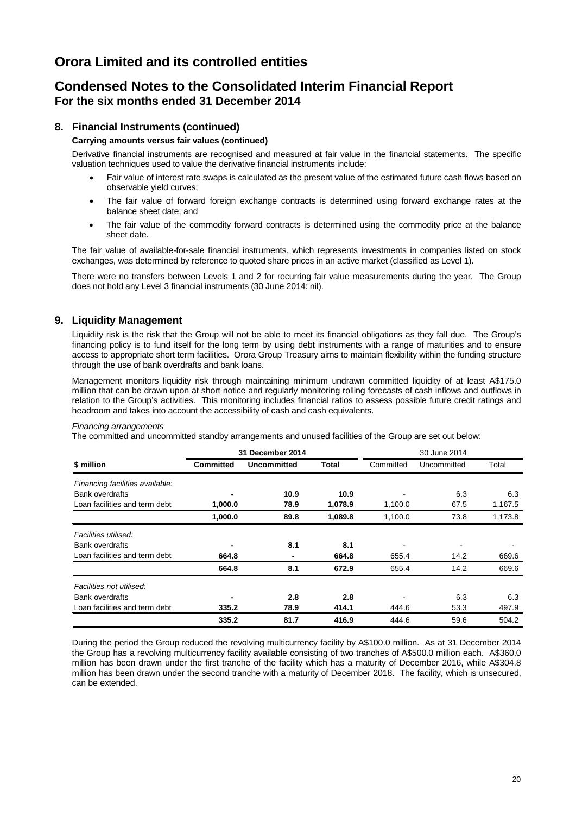# **Condensed Notes to the Consolidated Interim Financial Report For the six months ended 31 December 2014**

## **8. Financial Instruments (continued)**

#### **Carrying amounts versus fair values (continued)**

Derivative financial instruments are recognised and measured at fair value in the financial statements. The specific valuation techniques used to value the derivative financial instruments include:

- Fair value of interest rate swaps is calculated as the present value of the estimated future cash flows based on observable yield curves;
- The fair value of forward foreign exchange contracts is determined using forward exchange rates at the balance sheet date; and
- The fair value of the commodity forward contracts is determined using the commodity price at the balance sheet date.

The fair value of available-for-sale financial instruments, which represents investments in companies listed on stock exchanges, was determined by reference to quoted share prices in an active market (classified as Level 1).

There were no transfers between Levels 1 and 2 for recurring fair value measurements during the year. The Group does not hold any Level 3 financial instruments (30 June 2014: nil).

## **9. Liquidity Management**

Liquidity risk is the risk that the Group will not be able to meet its financial obligations as they fall due. The Group's financing policy is to fund itself for the long term by using debt instruments with a range of maturities and to ensure access to appropriate short term facilities. Orora Group Treasury aims to maintain flexibility within the funding structure through the use of bank overdrafts and bank loans.

Management monitors liquidity risk through maintaining minimum undrawn committed liquidity of at least A\$175.0 million that can be drawn upon at short notice and regularly monitoring rolling forecasts of cash inflows and outflows in relation to the Group's activities. This monitoring includes financial ratios to assess possible future credit ratings and headroom and takes into account the accessibility of cash and cash equivalents.

#### *Financing arrangements*

The committed and uncommitted standby arrangements and unused facilities of the Group are set out below:

|                                 |                  | 31 December 2014 |         |           | 30 June 2014             |         |  |
|---------------------------------|------------------|------------------|---------|-----------|--------------------------|---------|--|
| \$ million                      | <b>Committed</b> | Uncommitted      | Total   | Committed | Uncommitted              | Total   |  |
| Financing facilities available: |                  |                  |         |           |                          |         |  |
| <b>Bank overdrafts</b>          |                  | 10.9             | 10.9    |           | 6.3                      | 6.3     |  |
| Loan facilities and term debt   | 1,000.0          | 78.9             | 1,078.9 | 1,100.0   | 67.5                     | 1,167.5 |  |
|                                 | 1,000.0          | 89.8             | 1,089.8 | 1,100.0   | 73.8                     | 1,173.8 |  |
| Facilities utilised:            |                  |                  |         |           |                          |         |  |
| <b>Bank overdrafts</b>          | ٠                | 8.1              | 8.1     |           | $\overline{\phantom{a}}$ |         |  |
| Loan facilities and term debt   | 664.8            | ٠                | 664.8   | 655.4     | 14.2                     | 669.6   |  |
|                                 | 664.8            | 8.1              | 672.9   | 655.4     | 14.2                     | 669.6   |  |
| Facilities not utilised:        |                  |                  |         |           |                          |         |  |
| <b>Bank overdrafts</b>          | ٠                | 2.8              | 2.8     | ۰         | 6.3                      | 6.3     |  |
| Loan facilities and term debt   | 335.2            | 78.9             | 414.1   | 444.6     | 53.3                     | 497.9   |  |
|                                 | 335.2            | 81.7             | 416.9   | 444.6     | 59.6                     | 504.2   |  |

During the period the Group reduced the revolving multicurrency facility by A\$100.0 million. As at 31 December 2014 the Group has a revolving multicurrency facility available consisting of two tranches of A\$500.0 million each. A\$360.0 million has been drawn under the first tranche of the facility which has a maturity of December 2016, while A\$304.8 million has been drawn under the second tranche with a maturity of December 2018. The facility, which is unsecured, can be extended.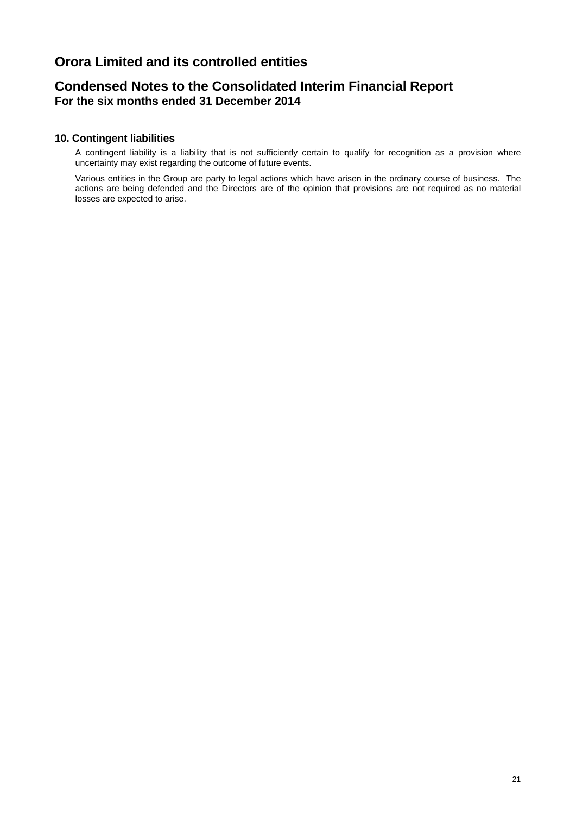# **Condensed Notes to the Consolidated Interim Financial Report For the six months ended 31 December 2014**

## **10. Contingent liabilities**

A contingent liability is a liability that is not sufficiently certain to qualify for recognition as a provision where uncertainty may exist regarding the outcome of future events.

Various entities in the Group are party to legal actions which have arisen in the ordinary course of business. The actions are being defended and the Directors are of the opinion that provisions are not required as no material losses are expected to arise.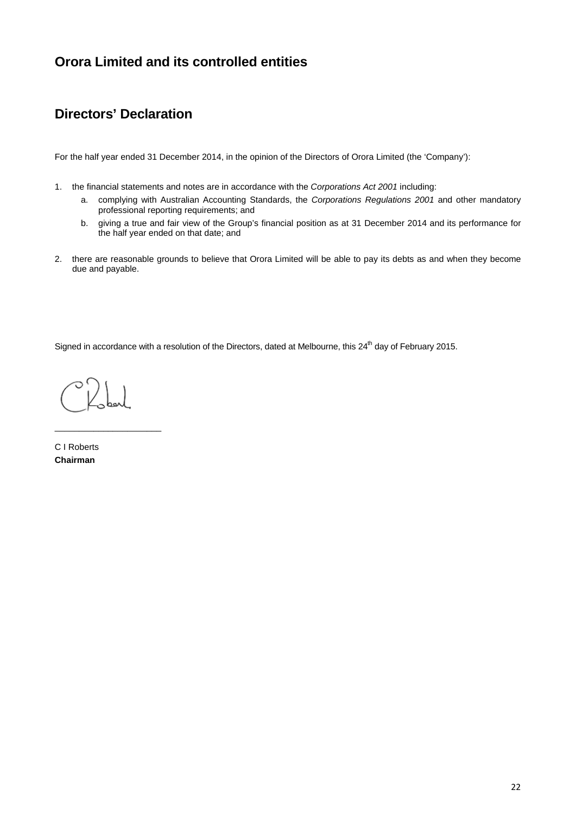# **Directors' Declaration**

For the half year ended 31 December 2014, in the opinion of the Directors of Orora Limited (the 'Company'):

- 1. the financial statements and notes are in accordance with the *Corporations Act 2001* including:
	- a. complying with Australian Accounting Standards, the *Corporations Regulations 2001* and other mandatory professional reporting requirements; and
	- b. giving a true and fair view of the Group's financial position as at 31 December 2014 and its performance for the half year ended on that date; and
- 2. there are reasonable grounds to believe that Orora Limited will be able to pay its debts as and when they become due and payable.

Signed in accordance with a resolution of the Directors, dated at Melbourne, this 24<sup>th</sup> day of February 2015.

\_\_\_\_\_\_\_\_\_\_\_\_\_\_\_\_\_\_\_\_\_\_

C I Roberts **Chairman**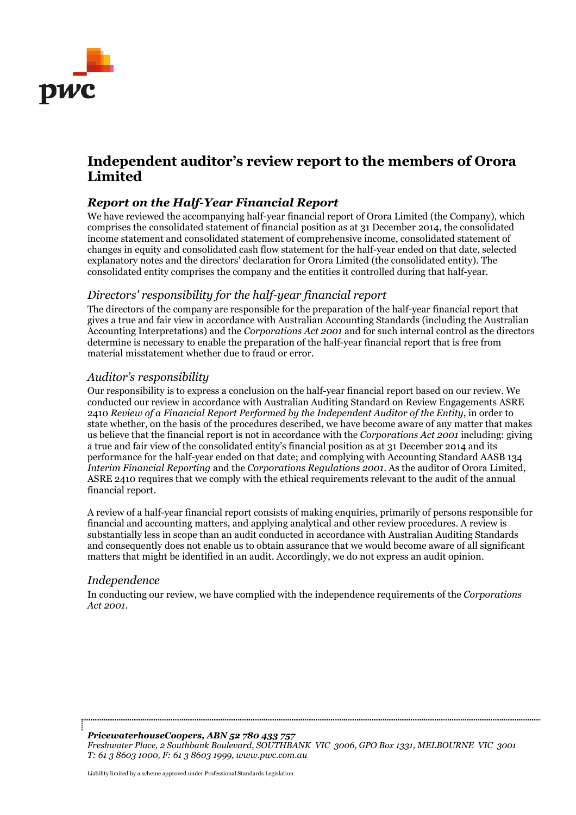

# **Independent auditor's review report to the members of Orora Limited**

# *Report on the Half-Year Financial Report*

We have reviewed the accompanying half-year financial report of Orora Limited (the Company), which comprises the consolidated statement of financial position as at 31 December 2014, the consolidated income statement and consolidated statement of comprehensive income, consolidated statement of changes in equity and consolidated cash flow statement for the half-year ended on that date, selected explanatory notes and the directors' declaration for Orora Limited (the consolidated entity). The consolidated entity comprises the company and the entities it controlled during that half-year.

## *Directors' responsibility for the half-year financial report*

The directors of the company are responsible for the preparation of the half-year financial report that gives a true and fair view in accordance with Australian Accounting Standards (including the Australian Accounting Interpretations) and the *Corporations Act 2001* and for such internal control as the directors determine is necessary to enable the preparation of the half-year financial report that is free from material misstatement whether due to fraud or error.

## *Auditor's responsibility*

Our responsibility is to express a conclusion on the half-year financial report based on our review. We conducted our review in accordance with Australian Auditing Standard on Review Engagements ASRE 2410 *Review of a Financial Report Performed by the Independent Auditor of the Entity*, in order to state whether, on the basis of the procedures described, we have become aware of any matter that makes us believe that the financial report is not in accordance with the *Corporations Act 2001* including: giving a true and fair view of the consolidated entity's financial position as at 31 December 2014 and its performance for the half-year ended on that date; and complying with Accounting Standard AASB 134 *Interim Financial Reporting* and the *Corporations Regulations 2001*. As the auditor of Orora Limited, ASRE 2410 requires that we comply with the ethical requirements relevant to the audit of the annual financial report.

A review of a half-year financial report consists of making enquiries, primarily of persons responsible for financial and accounting matters, and applying analytical and other review procedures. A review is substantially less in scope than an audit conducted in accordance with Australian Auditing Standards and consequently does not enable us to obtain assurance that we would become aware of all significant matters that might be identified in an audit. Accordingly, we do not express an audit opinion.

## *Independence*

In conducting our review, we have complied with the independence requirements of the *Corporations Act 2001*.

*PricewaterhouseCoopers, ABN 52 780 433 757 Freshwater Place, 2 Southbank Boulevard, SOUTHBANK VIC 3006, GPO Box 1331, MELBOURNE VIC 3001 T: 61 3 8603 1000, F: 61 3 8603 1999, www.pwc.com.au*